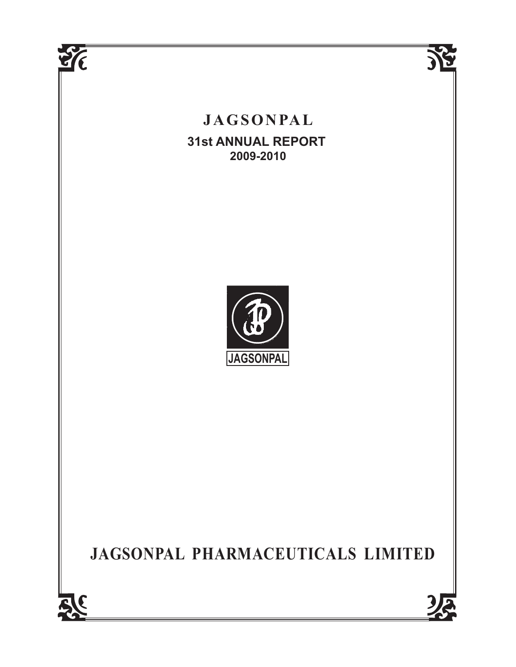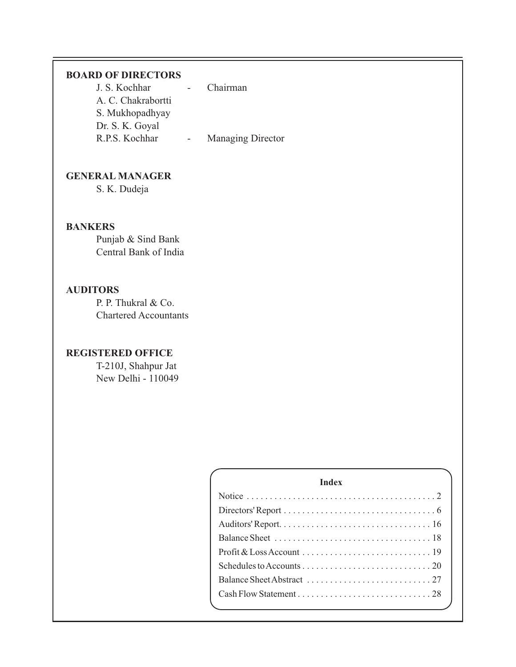# **BOARD OF DIRECTORS**

| J. S. Kochhar      | Chairman                 |
|--------------------|--------------------------|
| A. C. Chakrabortti |                          |
| S. Mukhopadhyay    |                          |
| Dr. S. K. Goyal    |                          |
| R.P.S. Kochhar     | <b>Managing Director</b> |

# **GENERAL MANAGER**

S. K. Dudeja

# **BANKERS**

Punjab & Sind Bank Central Bank of India

# **AUDITORS**

P. P. Thukral & Co. Chartered Accountants

# **REGISTERED OFFICE**

T-210J, Shahpur Jat New Delhi - 110049

| <b>Index</b> |  |
|--------------|--|
|              |  |
|              |  |
|              |  |
|              |  |
|              |  |
|              |  |
|              |  |
|              |  |
|              |  |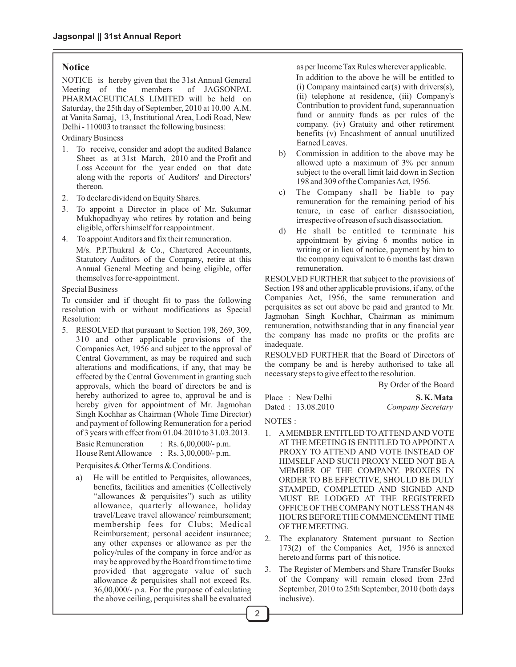#### **Notice**

NOTICE is hereby given that the 31st Annual General<br>Meeting of the members of JAGSONPAL Meeting of the members PHARMACEUTICALS LIMITED will be held on Saturday, the 25th day of September, 2010 at 10.00 A.M. at Vanita Samaj, 13, Institutional Area, Lodi Road, New Delhi - 110003 to transact the following business:

Ordinary Business

- 1. To receive, consider and adopt the audited Balance Sheet as at 31st March, 2010 and the Profit and Loss Account for the year ended on that date along with the reports of Auditors' and Directors' thereon.
- 2. To declare dividend on Equity Shares.
- 3. To appoint a Director in place of Mr. Sukumar Mukhopadhyay who retires by rotation and being eligible, offers himself for reappointment.
- 4. To appoint Auditors and fix their remuneration.

M/s. P.P.Thukral & Co., Chartered Accountants, Statutory Auditors of the Company, retire at this Annual General Meeting and being eligible, offer themselves for re-appointment.

#### Special Business

To consider and if thought fit to pass the following resolution with or without modifications as Special Resolution:

5. RESOLVED that pursuant to Section 198, 269, 309, 310 and other applicable provisions of the Companies Act, 1956 and subject to the approval of Central Government, as may be required and such alterations and modifications, if any, that may be effected by the Central Government in granting such approvals, which the board of directors be and is hereby authorized to agree to, approval be and is hereby given for appointment of Mr. Jagmohan Singh Kochhar as Chairman (Whole Time Director) and payment of following Remuneration for a period of 3 years with effect from 01.04.2010 to 31.03.2013.

Basic Remuneration : Rs. 6,00,000/- p.m. House Rent Allowance : Rs. 3,00,000/- p.m.

Perquisites & Other Terms & Conditions.

a) He will be entitled to Perquisites, allowances, benefits, facilities and amenities (Collectively "allowances & perquisites") such as utility allowance, quarterly allowance, holiday travel/Leave travel allowance/ reimbursement; membership fees for Clubs; Medical Reimbursement; personal accident insurance; any other expenses or allowance as per the policy/rules of the company in force and/or as may be approved by the Board from time to time provided that aggregate value of such allowance & perquisites shall not exceed Rs. 36,00,000/- p.a. For the purpose of calculating the above ceiling, perquisites shall be evaluated as per Income Tax Rules wherever applicable.

In addition to the above he will be entitled to (i) Company maintained car(s) with drivers(s), (ii) telephone at residence, (iii) Company's Contribution to provident fund, superannuation fund or annuity funds as per rules of the company. (iv) Gratuity and other retirement benefits (v) Encashment of annual unutilized Earned Leaves.

- b) Commission in addition to the above may be allowed upto a maximum of 3% per annum subject to the overall limit laid down in Section 198 and 309 of the Companies Act, 1956.
- c) The Company shall be liable to pay remuneration for the remaining period of his tenure, in case of earlier disassociation, irrespective of reason of such disassociation.
- d) He shall be entitled to terminate his appointment by giving 6 months notice in writing or in lieu of notice, payment by him to the company equivalent to 6 months last drawn remuneration.

RESOLVED FURTHER that subject to the provisions of Section 198 and other applicable provisions, if any, of the Companies Act, 1956, the same remuneration and perquisites as set out above be paid and granted to Mr. Jagmohan Singh Kochhar, Chairman as minimum remuneration, notwithstanding that in any financial year the company has made no profits or the profits are inadequate.

RESOLVED FURTHER that the Board of Directors of the company be and is hereby authorised to take all necessary steps to give effect to the resolution.

By Order of the Board

|  | Place : New Delhi | S.K.Mata          |
|--|-------------------|-------------------|
|  | Dated: 13.08.2010 | Company Secretary |

NOTES :

- 1. AMEMBER ENTITLED TO ATTEND AND VOTE AT THE MEETING IS ENTITLED TO APPOINTA PROXY TO ATTEND AND VOTE INSTEAD OF HIMSELF AND SUCH PROXY NEED NOT BE A MEMBER OF THE COMPANY. PROXIES IN ORDER TO BE EFFECTIVE, SHOULD BE DULY STAMPED, COMPLETED AND SIGNED AND MUST BE LODGED AT THE REGISTERED OFFICE OF THE COMPANY NOT LESS THAN 48 HOURS BEFORE THE COMMENCEMENTTIME OF THE MEETING.
- 2. The explanatory Statement pursuant to Section 173(2) of the Companies Act, 1956 is annexed hereto and forms part of this notice.
- 3. The Register of Members and Share Transfer Books of the Company will remain closed from 23rd September, 2010 to 25th September, 2010 (both days inclusive).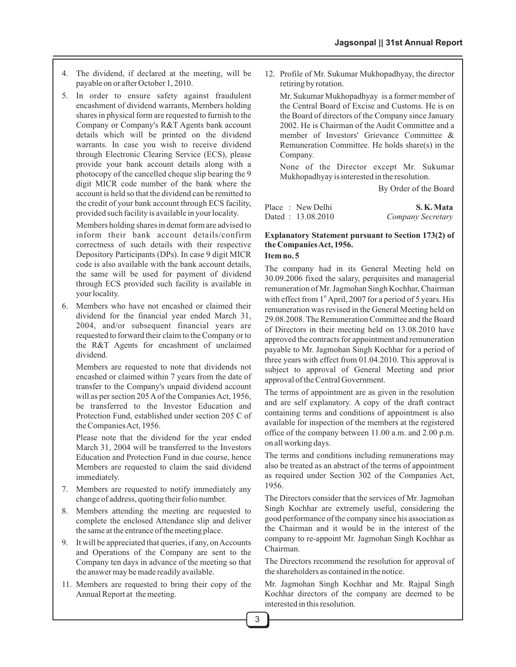- 4. The dividend, if declared at the meeting, will be payable on or after October 1, 2010.
- 5. In order to ensure safety against fraudulent encashment of dividend warrants, Members holding shares in physical form are requested to furnish to the Company or Company's R&T Agents bank account details which will be printed on the dividend warrants. In case you wish to receive dividend through Electronic Clearing Service (ECS), please provide your bank account details along with a photocopy of the cancelled cheque slip bearing the 9 digit MICR code number of the bank where the account is held so that the dividend can be remitted to the credit of your bank account through ECS facility, provided such facility is available in your locality.

Members holding shares in demat form are advised to inform their bank account details/confirm correctness of such details with their respective Depository Participants (DPs). In case 9 digit MICR code is also available with the bank account details, the same will be used for payment of dividend through ECS provided such facility is available in your locality.

6. Members who have not encashed or claimed their dividend for the financial year ended March 31, 2004, and/or subsequent financial years are requested to forward their claim to the Company or to the R&T Agents for encashment of unclaimed dividend.

Members are requested to note that dividends not encashed or claimed within 7 years from the date of transfer to the Company's unpaid dividend account will as per section 205 Aof the Companies Act, 1956, be transferred to the Investor Education and Protection Fund, established under section 205 C of the Companies Act, 1956.

Please note that the dividend for the year ended March 31, 2004 will be transferred to the Investors Education and Protection Fund in due course, hence Members are requested to claim the said dividend immediately.

- 7. Members are requested to notify immediately any change of address, quoting their folio number.
- 8. Members attending the meeting are requested to complete the enclosed Attendance slip and deliver the same at the entrance of the meeting place.
- 9. It will be appreciated that queries, if any, on Accounts and Operations of the Company are sent to the Company ten days in advance of the meeting so that the answer may be made readily available.
- 11. Members are requested to bring their copy of the Annual Report at the meeting.

12. Profile of Mr. Sukumar Mukhopadhyay, the director retiring by rotation.

Mr. Sukumar Mukhopadhyay is a former member of the Central Board of Excise and Customs. He is on the Board of directors of the Company since January 2002. He is Chairman of the Audit Committee and a member of Investors' Grievance Committee & Remuneration Committee. He holds share(s) in the Company.

None of the Director except Mr. Sukumar Mukhopadhyay is interested in the resolution.

By Order of the Board

| Place : New Delhi | S.K.Mata          |
|-------------------|-------------------|
| Dated: 13.08.2010 | Company Secretary |

#### **Explanatory Statement pursuant to Section 173(2) of the Companies Act, 1956.**

#### **Item no. 5**

The company had in its General Meeting held on 30.09.2006 fixed the salary, perquisites and managerial remuneration of Mr. Jagmohan Singh Kochhar, Chairman with effect from  $1<sup>st</sup>$  April, 2007 for a period of 5 years. His remuneration was revised in the General Meeting held on 29.08.2008. The Remuneration Committee and the Board of Directors in their meeting held on 13.08.2010 have approved the contracts for appointment and remuneration payable to Mr. Jagmohan Singh Kochhar for a period of three years with effect from 01.04.2010. This approval is subject to approval of General Meeting and prior approval of the Central Government.

The terms of appointment are as given in the resolution and are self explanatory. A copy of the draft contract containing terms and conditions of appointment is also available for inspection of the members at the registered office of the company between 11.00 a.m. and 2.00 p.m. on all working days.

The terms and conditions including remunerations may also be treated as an abstract of the terms of appointment as required under Section 302 of the Companies Act, 1956.

The Directors consider that the services of Mr. Jagmohan Singh Kochhar are extremely useful, considering the good performance of the company since his association as the Chairman and it would be in the interest of the company to re-appoint Mr. Jagmohan Singh Kochhar as Chairman.

The Directors recommend the resolution for approval of the shareholders as contained in the notice.

Mr. Jagmohan Singh Kochhar and Mr. Rajpal Singh Kochhar directors of the company are deemed to be interested in this resolution.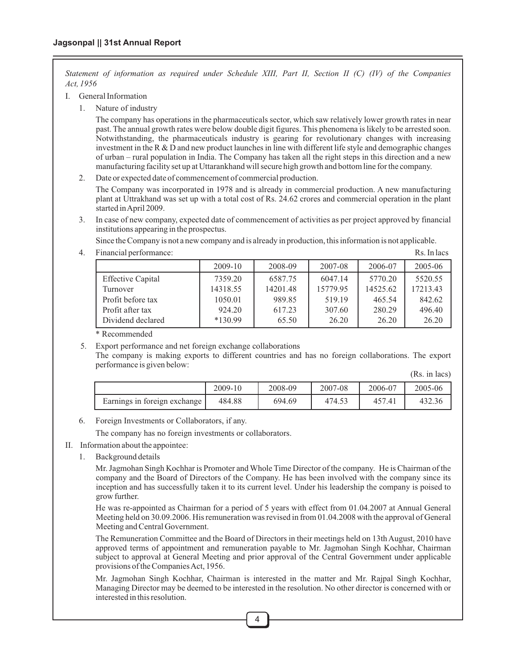*Statement of information as required under Schedule XIII, Part II, Section II (C) (IV) of the Companies Act, 1956*

- I. General Information
	- 1. Nature of industry

The company has operations in the pharmaceuticals sector, which saw relatively lower growth rates in near past. The annual growth rates were below double digit figures. This phenomena is likely to be arrested soon. Notwithstanding, the pharmaceuticals industry is gearing for revolutionary changes with increasing investment in the R  $\&$  D and new product launches in line with different life style and demographic changes of urban – rural population in India. The Company has taken all the right steps in this direction and a new manufacturing facility set up at Uttarankhand will secure high growth and bottom line for the company.

2. Date or expected date of commencement of commercial production.

The Company was incorporated in 1978 and is already in commercial production. A new manufacturing plant at Uttrakhand was set up with a total cost of Rs. 24.62 crores and commercial operation in the plant started in April 2009.

3. In case of new company, expected date of commencement of activities as per project approved by financial institutions appearing in the prospectus.

Since the Company is not a new company and is already in production, this information is not applicable.

- 2009-10 2008-09 2007-08 2006-07 2005-06 Effective Capital 1 7359.20 6587.75 6047.14 5770.20 5520.55 Turnover 14318.55 14201.48 15779.95 14525.62 17213.43 Profit before tax 1050.01 989.85 519.19 465.54 842.62 Profit after tax  $924.20 \left( \begin{array}{ccc} 617.23 \end{array} \right) 307.60 \left( \begin{array}{ccc} 280.29 \end{array} \right) 496.40$ Dividend declared **\*130.99** 65.50 26.20 26.20 26.20
- 4. Financial performance: Rs. In lacs

\* Recommended

5. Export performance and net foreign exchange collaborations

The company is making exports to different countries and has no foreign collaborations. The export performance is given below:

(Rs. in lacs)

|                                | 2009-10 | 2008-09 | 2007-08 | 2006-07 | 2005-06 |
|--------------------------------|---------|---------|---------|---------|---------|
| Earnings in foreign exchange I | 484.88  | 694.69  | 474.53  | 7.41    | 432.36  |

6. Foreign Investments or Collaborators, if any.

The company has no foreign investments or collaborators.

#### II. Information about the appointee:

1. Background details

Mr. Jagmohan Singh Kochhar is Promoter and Whole Time Director of the company. He is Chairman of the company and the Board of Directors of the Company. He has been involved with the company since its inception and has successfully taken it to its current level. Under his leadership the company is poised to grow further.

He was re-appointed as Chairman for a period of 5 years with effect from 01.04.2007 at Annual General Meeting held on 30.09.2006. His remuneration was revised in from 01.04.2008 with the approval of General Meeting and Central Government.

The Remuneration Committee and the Board of Directors in their meetings held on 13th August, 2010 have approved terms of appointment and remuneration payable to Mr. Jagmohan Singh Kochhar, Chairman subject to approval at General Meeting and prior approval of the Central Government under applicable provisions of the Companies Act, 1956.

Mr. Jagmohan Singh Kochhar, Chairman is interested in the matter and Mr. Rajpal Singh Kochhar, Managing Director may be deemed to be interested in the resolution. No other director is concerned with or interested in this resolution.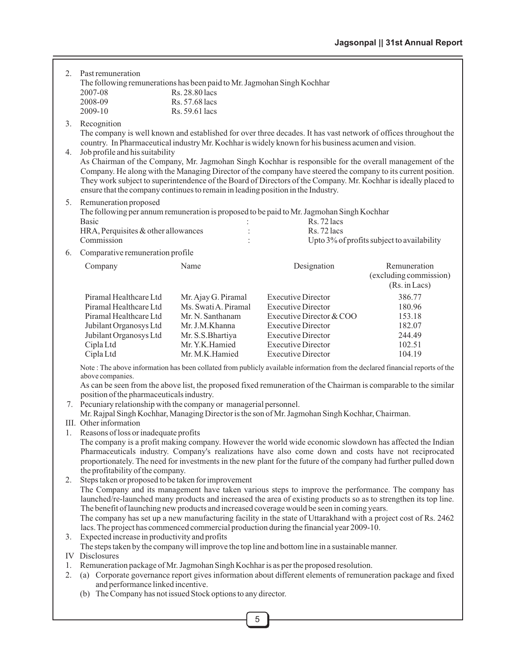| 2. | Past remuneration                                                                                  |                                  |                                                                                                                                                                                                                         |                                            |  |
|----|----------------------------------------------------------------------------------------------------|----------------------------------|-------------------------------------------------------------------------------------------------------------------------------------------------------------------------------------------------------------------------|--------------------------------------------|--|
|    | The following remunerations has been paid to Mr. Jagmohan Singh Kochhar                            |                                  |                                                                                                                                                                                                                         |                                            |  |
|    | 2007-08                                                                                            | Rs. 28.80 lacs                   |                                                                                                                                                                                                                         |                                            |  |
|    | 2008-09<br>2009-10                                                                                 | Rs. 57.68 lacs<br>Rs. 59.61 lacs |                                                                                                                                                                                                                         |                                            |  |
|    |                                                                                                    |                                  |                                                                                                                                                                                                                         |                                            |  |
| 3. | Recognition                                                                                        |                                  |                                                                                                                                                                                                                         |                                            |  |
|    |                                                                                                    |                                  | The company is well known and established for over three decades. It has vast network of offices throughout the                                                                                                         |                                            |  |
| 4. | Job profile and his suitability                                                                    |                                  | country. In Pharmaceutical industry Mr. Kochhar is widely known for his business acumen and vision.                                                                                                                     |                                            |  |
|    |                                                                                                    |                                  | As Chairman of the Company, Mr. Jagmohan Singh Kochhar is responsible for the overall management of the                                                                                                                 |                                            |  |
|    |                                                                                                    |                                  | Company. He along with the Managing Director of the company have steered the company to its current position.                                                                                                           |                                            |  |
|    |                                                                                                    |                                  | They work subject to superintendence of the Board of Directors of the Company. Mr. Kochhar is ideally placed to                                                                                                         |                                            |  |
|    | ensure that the company continues to remain in leading position in the Industry.                   |                                  |                                                                                                                                                                                                                         |                                            |  |
| 5. | Remuneration proposed                                                                              |                                  |                                                                                                                                                                                                                         |                                            |  |
|    |                                                                                                    |                                  | The following per annum remuneration is proposed to be paid to Mr. Jagmohan Singh Kochhar                                                                                                                               |                                            |  |
|    | <b>Basic</b>                                                                                       |                                  | Rs. 72 lacs                                                                                                                                                                                                             |                                            |  |
|    | HRA, Perquisites & other allowances                                                                |                                  | Rs. 72 lacs                                                                                                                                                                                                             |                                            |  |
|    | Commission                                                                                         |                                  |                                                                                                                                                                                                                         | Upto 3% of profits subject to availability |  |
| 6. | Comparative remuneration profile                                                                   |                                  |                                                                                                                                                                                                                         |                                            |  |
|    | Company                                                                                            | Name                             | Designation                                                                                                                                                                                                             | Remuneration                               |  |
|    |                                                                                                    |                                  |                                                                                                                                                                                                                         | (excluding commission)                     |  |
|    |                                                                                                    |                                  |                                                                                                                                                                                                                         | (Rs. in Lacs)                              |  |
|    | Piramal Healthcare Ltd                                                                             | Mr. Ajay G. Piramal              | <b>Executive Director</b>                                                                                                                                                                                               | 386.77                                     |  |
|    | Piramal Healthcare Ltd                                                                             | Ms. Swati A. Piramal             | <b>Executive Director</b>                                                                                                                                                                                               | 180.96                                     |  |
|    | Piramal Healthcare Ltd                                                                             | Mr. N. Santhanam                 | Executive Director & COO                                                                                                                                                                                                | 153.18                                     |  |
|    | Jubilant Organosys Ltd                                                                             | Mr. J.M.Khanna                   | <b>Executive Director</b>                                                                                                                                                                                               | 182.07                                     |  |
|    | Jubilant Organosys Ltd                                                                             | Mr. S.S.Bhartiya                 | <b>Executive Director</b>                                                                                                                                                                                               | 244.49                                     |  |
|    | Cipla Ltd                                                                                          | Mr. Y.K.Hamied                   | <b>Executive Director</b>                                                                                                                                                                                               | 102.51                                     |  |
|    | Cipla Ltd                                                                                          | Mr. M.K.Hamied                   | <b>Executive Director</b>                                                                                                                                                                                               | 104.19                                     |  |
|    | above companies.                                                                                   |                                  | Note: The above information has been collated from publicly available information from the declared financial reports of the                                                                                            |                                            |  |
|    |                                                                                                    |                                  | As can be seen from the above list, the proposed fixed remuneration of the Chairman is comparable to the similar                                                                                                        |                                            |  |
|    | position of the pharmaceuticals industry.                                                          |                                  |                                                                                                                                                                                                                         |                                            |  |
|    | 7. Pecuniary relationship with the company or managerial personnel.                                |                                  | Mr. Rajpal Singh Kochhar, Managing Director is the son of Mr. Jagmohan Singh Kochhar, Chairman.                                                                                                                         |                                            |  |
|    | III. Other information                                                                             |                                  |                                                                                                                                                                                                                         |                                            |  |
|    | 1. Reasons of loss or inadequate profits                                                           |                                  |                                                                                                                                                                                                                         |                                            |  |
|    |                                                                                                    |                                  | The company is a profit making company. However the world wide economic slowdown has affected the Indian                                                                                                                |                                            |  |
|    |                                                                                                    |                                  | Pharmaceuticals industry. Company's realizations have also come down and costs have not reciprocated                                                                                                                    |                                            |  |
|    |                                                                                                    |                                  | proportionately. The need for investments in the new plant for the future of the company had further pulled down                                                                                                        |                                            |  |
|    | the profitability of the company.                                                                  |                                  |                                                                                                                                                                                                                         |                                            |  |
| 2. | Steps taken or proposed to be taken for improvement                                                |                                  |                                                                                                                                                                                                                         |                                            |  |
|    |                                                                                                    |                                  | The Company and its management have taken various steps to improve the performance. The company has<br>launched/re-launched many products and increased the area of existing products so as to strengthen its top line. |                                            |  |
|    |                                                                                                    |                                  | The benefit of launching new products and increased coverage would be seen in coming years.                                                                                                                             |                                            |  |
|    |                                                                                                    |                                  | The company has set up a new manufacturing facility in the state of Uttarakhand with a project cost of Rs. 2462                                                                                                         |                                            |  |
|    |                                                                                                    |                                  | lacs. The project has commenced commercial production during the financial year 2009-10.                                                                                                                                |                                            |  |
| 3. | Expected increase in productivity and profits                                                      |                                  |                                                                                                                                                                                                                         |                                            |  |
|    |                                                                                                    |                                  | The steps taken by the company will improve the top line and bottom line in a sustainable manner.                                                                                                                       |                                            |  |
|    | <b>IV</b> Disclosures                                                                              |                                  |                                                                                                                                                                                                                         |                                            |  |
| 1. |                                                                                                    |                                  | Remuneration package of Mr. Jagmohan Singh Kochhar is as per the proposed resolution.                                                                                                                                   |                                            |  |
| 2. |                                                                                                    |                                  | (a) Corporate governance report gives information about different elements of remuneration package and fixed                                                                                                            |                                            |  |
|    | and performance linked incentive.<br>(b) The Company has not issued Stock options to any director. |                                  |                                                                                                                                                                                                                         |                                            |  |
|    |                                                                                                    |                                  |                                                                                                                                                                                                                         |                                            |  |

5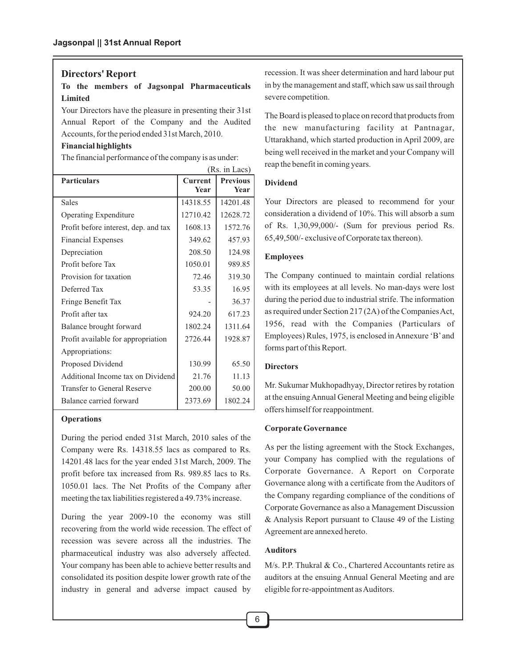#### **Directors' Report**

**To the members of Jagsonpal Pharmaceuticals Limited**

Your Directors have the pleasure in presenting their 31st Annual Report of the Company and the Audited Accounts, for the period ended 31st March, 2010.

#### **Financial highlights**

The financial performance of the company is as under:

|                                      |                | (Rs. in Lacs)   |
|--------------------------------------|----------------|-----------------|
| <b>Particulars</b>                   | <b>Current</b> | <b>Previous</b> |
|                                      | <b>Year</b>    | Year            |
| <b>Sales</b>                         | 14318.55       | 14201.48        |
| <b>Operating Expenditure</b>         | 12710.42       | 12628.72        |
| Profit before interest, dep. and tax | 1608.13        | 1572.76         |
| <b>Financial Expenses</b>            | 349.62         | 457.93          |
| Depreciation                         | 208.50         | 124.98          |
| Profit before Tax                    | 1050.01        | 989.85          |
| Provision for taxation               | 72.46          | 319.30          |
| Deferred Tax                         | 53.35          | 16.95           |
| Fringe Benefit Tax                   |                | 36.37           |
| Profit after tax                     | 924.20         | 617.23          |
| Balance brought forward              | 1802.24        | 1311.64         |
| Profit available for appropriation   | 2726.44        | 1928.87         |
| Appropriations:                      |                |                 |
| Proposed Dividend                    | 130.99         | 65.50           |
| Additional Income tax on Dividend    | 21.76          | 11.13           |
| Transfer to General Reserve          | 200.00         | 50.00           |
| Balance carried forward              | 2373.69        | 1802.24         |

#### **Operations**

During the period ended 31st March, 2010 sales of the Company were Rs. 14318.55 lacs as compared to Rs. 14201.48 lacs for the year ended 31st March, 2009. The profit before tax increased from Rs. 989.85 lacs to Rs. 1050.01 lacs. The Net Profits of the Company after meeting the tax liabilities registered a 49.73% increase.

During the year 2009-10 the economy was still recovering from the world wide recession. The effect of recession was severe across all the industries. The pharmaceutical industry was also adversely affected. Your company has been able to achieve better results and consolidated its position despite lower growth rate of the industry in general and adverse impact caused by

recession. It was sheer determination and hard labour put in by the management and staff, which saw us sail through severe competition.

The Board is pleased to place on record that products from the new manufacturing facility at Pantnagar, Uttarakhand, which started production in April 2009, are being well received in the market and your Company will reap the benefit in coming years.

#### **Dividend**

Your Directors are pleased to recommend for your consideration a dividend of 10%. This will absorb a sum of Rs. 1,30,99,000/- (Sum for previous period Rs. 65,49,500/- exclusive of Corporate tax thereon).

#### **Employees**

The Company continued to maintain cordial relations with its employees at all levels. No man-days were lost during the period due to industrial strife. The information as required under Section 217 (2A) of the Companies Act, 1956, read with the Companies (Particulars of Employees) Rules, 1975, is enclosed in Annexure 'B'and forms part of this Report.

#### **Directors**

Mr. Sukumar Mukhopadhyay, Director retires by rotation at the ensuing Annual General Meeting and being eligible offers himself for reappointment.

#### **Corporate Governance**

As per the listing agreement with the Stock Exchanges, your Company has complied with the regulations of Corporate Governance. A Report on Corporate Governance along with a certificate from the Auditors of the Company regarding compliance of the conditions of Corporate Governance as also a Management Discussion & Analysis Report pursuant to Clause 49 of the Listing Agreement are annexed hereto.

#### **Auditors**

M/s. P.P. Thukral & Co., Chartered Accountants retire as auditors at the ensuing Annual General Meeting and are eligible for re-appointment as Auditors.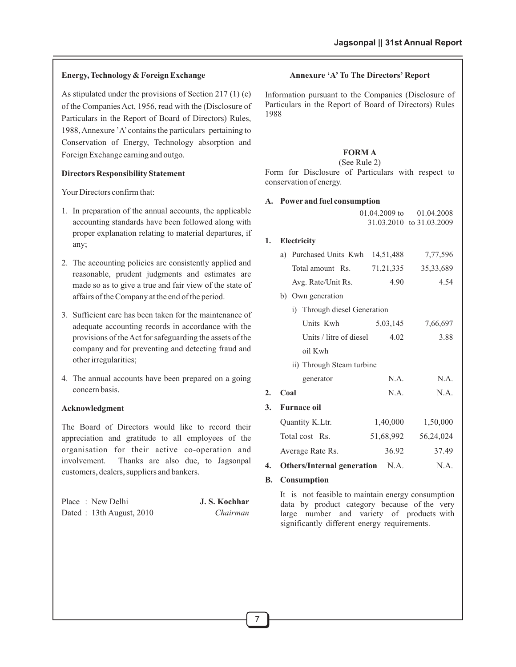#### **Energy, Technology & Foreign Exchange**

As stipulated under the provisions of Section 217 (1) (e) of the Companies Act, 1956, read with the (Disclosure of Particulars in the Report of Board of Directors) Rules, 1988, Annexure 'A'contains the particulars pertaining to Conservation of Energy, Technology absorption and Foreign Exchange earning and outgo.

#### **Directors Responsibility Statement**

Your Directors confirm that:

- 1. In preparation of the annual accounts, the applicable accounting standards have been followed along with proper explanation relating to material departures, if any;
- 2. The accounting policies are consistently applied and reasonable, prudent judgments and estimates are made so as to give a true and fair view of the state of affairs of the Company at the end of the period.
- 3. Sufficient care has been taken for the maintenance of adequate accounting records in accordance with the provisions of the Act for safeguarding the assets of the company and for preventing and detecting fraud and other irregularities;
- 4. The annual accounts have been prepared on a going concern basis.

#### **Acknowledgment**

The Board of Directors would like to record their appreciation and gratitude to all employees of the organisation for their active co-operation and involvement. Thanks are also due, to Jagsonpal customers, dealers, suppliers and bankers.

| Place: New Delhi           | J. S. Kochhar |
|----------------------------|---------------|
| Dated: 13th August, $2010$ | Chairman      |

#### **Annexure 'A'To The Directors' Report**

Information pursuant to the Companies (Disclosure of Particulars in the Report of Board of Directors) Rules 1988

#### **FORM A**

#### (See Rule 2)

Form for Disclosure of Particulars with respect to conservation of energy.

#### **A. Power and fuel consumption**

01.04.2009 to 31.03.2010 to 31.03.2009 01.04.2008

#### **1. Electricity**

| a) Purchased Units Kwh 14,51,488 |             | 7,77,596    |
|----------------------------------|-------------|-------------|
| Total amount Rs.                 | 71, 21, 335 | 35, 33, 689 |
| Avg. Rate/Unit Rs.               | 4.90        | 4.54        |

- b) Own generation
	- i) Through diesel Generation

|    | 1) Imough dieser Generation            |           |           |
|----|----------------------------------------|-----------|-----------|
|    | Units Kwh                              | 5,03,145  | 7,66,697  |
|    | Units / litre of diesel                | 4.02      | 3.88      |
|    | oil Kwh                                |           |           |
|    | ii) Through Steam turbine              |           |           |
|    | generator                              | N.A.      | N.A.      |
| 2. | Coal                                   | N.A.      | N.A.      |
| 3. | <b>Furnace oil</b>                     |           |           |
|    | Quantity K.Ltr.                        | 1,40,000  | 1,50,000  |
|    | Total cost Rs.                         | 51,68,992 | 56,24,024 |
|    | Average Rate Rs.                       | 36.92     | 37.49     |
| 4. | <b>Others/Internal generation</b> N.A. |           | N.A.      |
|    |                                        |           |           |

#### **B. Consumption**

It is not feasible to maintain energy consumption data by product category because of the very large number and variety of products with significantly different energy requirements.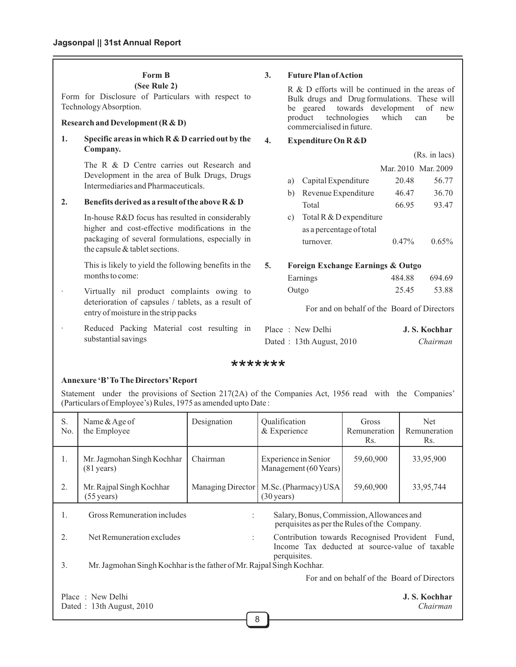#### **Form B**

**(See Rule 2)**

Form for Disclosure of Particulars with respect to Technology Absorption.

#### **Research and Development (R & D)**

#### **1. Specific areas in which R & D carried out by the Company.**

The R & D Centre carries out Research and Development in the area of Bulk Drugs, Drugs Intermediaries and Pharmaceuticals.

#### **2. Benefits derived as a result of the above R & D**

In-house R&D focus has resulted in considerably higher and cost-effective modifications in the packaging of several formulations, especially in the capsule & tablet sections.

This is likely to yield the following benefits in the months to come:

- Virtually nil product complaints owing to deterioration of capsules / tablets, as a result of entry of moisture in the strip packs
- Reduced Packing Material cost resulting in substantial savings

#### **3. Future Plan of Action**

R & D efforts will be continued in the areas of Bulk drugs and Drug formulations. These will be geared towards development of new<br>product technologies which can be product technologies which can be commercialised in future.

#### **4. Expenditure On R &D**

|    |                |                                   |                     | $(Rs. in lacs)$ |
|----|----------------|-----------------------------------|---------------------|-----------------|
|    |                |                                   | Mar. 2010 Mar. 2009 |                 |
|    | a)             | Capital Expenditure               | 20.48               | 56.77           |
|    | b)             | Revenue Expenditure               | 46.47               | 36.70           |
|    |                | Total                             | 66.95               | 93.47           |
|    | $\mathbf{c}$ ) | Total R $&$ D expenditure         |                     |                 |
|    |                | as a percentage of total          |                     |                 |
|    |                | turnover.                         | $0.47\%$            | $0.65\%$        |
|    |                |                                   |                     |                 |
| 5. |                | Foreign Exchange Earnings & Outgo |                     |                 |

| Earnings | 484.88 | 694.69 |
|----------|--------|--------|
| Outgo    | 25.45  | 53.88  |

For and on behalf of the Board of Directors

| Place: New Delhi           | J. S. Kochhar |
|----------------------------|---------------|
| Dated: 13th August, $2010$ | Chairman      |

#### \*\*\*\*\*\*\*

#### **Annexure 'B'To The Directors'Report**

Statement under the provisions of Section 217(2A) of the Companies Act, 1956 read with the Companies' (Particulars of Employee's) Rules, 1975 as amended upto Date :

| S.<br>No.                                                                                                                      | Name & Age of<br>the Employee                      | Designation       | Qualification<br>& Experience                                                               | Gross<br>Remuneration<br>Rs. | <b>Net</b><br>Remuneration<br>Rs. |
|--------------------------------------------------------------------------------------------------------------------------------|----------------------------------------------------|-------------------|---------------------------------------------------------------------------------------------|------------------------------|-----------------------------------|
| 1.                                                                                                                             | Mr. Jagmohan Singh Kochhar<br>$(81 \text{ years})$ | Chairman          | Experience in Senior<br>Management (60 Years)                                               | 59,60,900                    | 33,95,900                         |
| 2.                                                                                                                             | Mr. Rajpal Singh Kochhar<br>$(55 \text{ years})$   | Managing Director | M.Sc. (Pharmacy) USA<br>$(30 \text{ years})$                                                | 59,60,900                    | 33,95,744                         |
| Gross Remuneration includes<br>1.<br>Salary, Bonus, Commission, Allowances and<br>perquisites as per the Rules of the Company. |                                                    |                   |                                                                                             |                              |                                   |
| 2.                                                                                                                             | Net Remuneration excludes                          | ÷                 | Contribution towards Recognised Provident<br>Income Tax deducted at source-value of taxable |                              | Fund.                             |
| perquisites.<br>3.<br>Mr. Jagmohan Singh Kochhar is the father of Mr. Rajpal Singh Kochhar.                                    |                                                    |                   |                                                                                             |                              |                                   |
| For and on behalf of the Board of Directors                                                                                    |                                                    |                   |                                                                                             |                              |                                   |
| Place: New Delhi<br>J. S. Kochhar<br>Dated: 13th August, 2010<br>Chairman                                                      |                                                    |                   |                                                                                             |                              |                                   |

8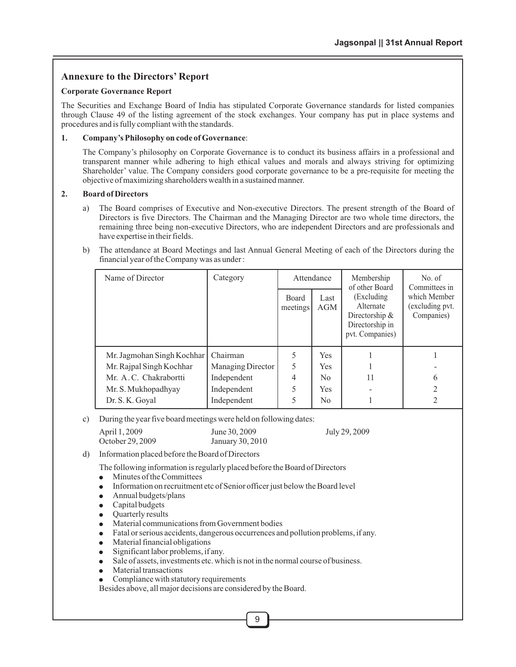#### **Annexure to the Directors' Report**

#### **Corporate Governance Report**

The Securities and Exchange Board of India has stipulated Corporate Governance standards for listed companies through Clause 49 of the listing agreement of the stock exchanges. Your company has put in place systems and procedures and is fully compliant with the standards.

#### **1. Company's Philosophy on code of Governance**:

The Company's philosophy on Corporate Governance is to conduct its business affairs in a professional and transparent manner while adhering to high ethical values and morals and always striving for optimizing Shareholder' value. The Company considers good corporate governance to be a pre-requisite for meeting the objective of maximizing shareholders wealth in a sustained manner.

#### **2. Board of Directors**

- a) The Board comprises of Executive and Non-executive Directors. The present strength of the Board of Directors is five Directors. The Chairman and the Managing Director are two whole time directors, the remaining three being non-executive Directors, who are independent Directors and are professionals and have expertise in their fields.
- b) The attendance at Board Meetings and last Annual General Meeting of each of the Directors during the financial year of the Company was as under :

| Name of Director           | Category          | Attendance               |                | Membership<br>of other Board                                                        | No. of<br>Committees in                       |
|----------------------------|-------------------|--------------------------|----------------|-------------------------------------------------------------------------------------|-----------------------------------------------|
|                            |                   | <b>Board</b><br>meetings | Last<br>AGM    | (Excluding)<br>Alternate<br>Directorship $\&$<br>Directorship in<br>pvt. Companies) | which Member<br>(excluding pvt.<br>Companies) |
| Mr. Jagmohan Singh Kochhar | Chairman          | 5                        | <b>Yes</b>     |                                                                                     |                                               |
| Mr. Rajpal Singh Kochhar   | Managing Director | 5                        | <b>Yes</b>     |                                                                                     |                                               |
| Mr. A.C. Chakrabortti      | Independent       | 4                        | No             | 11                                                                                  | 6                                             |
| Mr. S. Mukhopadhyay        | Independent       | 5                        | <b>Yes</b>     |                                                                                     | $\mathfrak{D}_{\mathfrak{p}}$                 |
| Dr. S. K. Goyal            | Independent       | 5                        | N <sub>0</sub> |                                                                                     |                                               |

c) During the year five board meetings were held on following dates:

| April 1, 2009    | June 30, 2009    | July 29, 2009 |
|------------------|------------------|---------------|
| October 29, 2009 | January 30, 2010 |               |

d) Information placed before the Board of Directors

The following information is regularly placed before the Board of Directors  $\bullet$  Minutes of the Committees

- Minutes of the Committees<br>• Information on recruitment
- Information on recruitment etc of Senior officer just below the Board level<br>• Annual budgets/plans
- Annual budgets/plans<br>Capital budgets
- 
- Quarterly results
- Material communications from Government bodies • Material communications from Government bodies<br>• Fatal or serious accidents, dangerous occurrences are
- Fatal or serious accidents, dangerous occurrences and pollution problems, if any.<br>● Material financial obligations
- 
- ●Material financial obligations Significant labor problems, if any.
- Sale of assets, investments etc. which is not in the normal course of business.
- Material transactions
- Sale of assets, investments etc. which is r<br>• Material transactions<br>• Compliance with statutory requirements

Besides above, all major decisions are considered by the Board.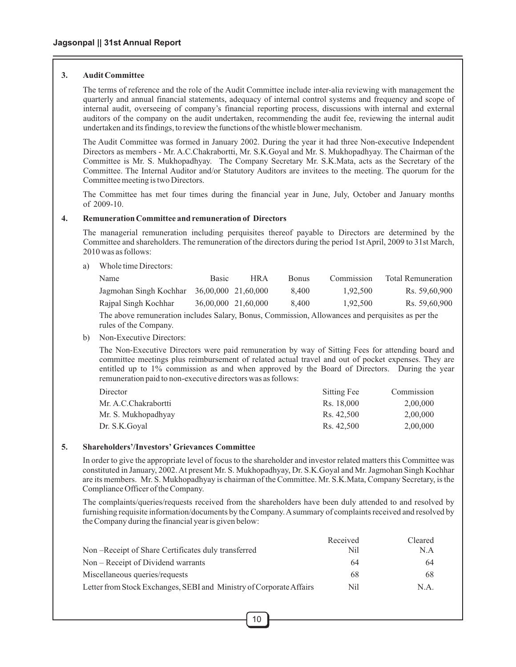#### **3. Audit Committee**

The terms of reference and the role of the Audit Committee include inter-alia reviewing with management the quarterly and annual financial statements, adequacy of internal control systems and frequency and scope of internal audit, overseeing of company's financial reporting process, discussions with internal and external auditors of the company on the audit undertaken, recommending the audit fee, reviewing the internal audit undertaken and its findings, to review the functions of the whistle blower mechanism.

The Audit Committee was formed in January 2002. During the year it had three Non-executive Independent Directors as members - Mr. A.C.Chakrabortti, Mr. S.K.Goyal and Mr. S. Mukhopadhyay. The Chairman of the Committee is Mr. S. Mukhopadhyay. The Company Secretary Mr. S.K.Mata, acts as the Secretary of the Committee. The Internal Auditor and/or Statutory Auditors are invitees to the meeting. The quorum for the Committee meeting is two Directors.

The Committee has met four times during the financial year in June, July, October and January months of 2009-10.

#### **4. Remuneration Committee and remuneration of Directors**

The managerial remuneration including perquisites thereof payable to Directors are determined by the Committee and shareholders. The remuneration of the directors during the period 1st April, 2009 to 31st March, 2010 was as follows:

a) Whole time Directors:

| Name                   | <b>Basic</b>        | HR A                | <b>Bonus</b> | Commission | Total Remuneration |
|------------------------|---------------------|---------------------|--------------|------------|--------------------|
| Jagmohan Singh Kochhar | 36,00,000 21,60,000 |                     | 8.400        | 1.92.500   | Rs. 59.60.900      |
| Rajpal Singh Kochhar   |                     | 36,00,000 21,60,000 | 8.400        | 1,92,500   | Rs. 59.60.900      |

The above remuneration includes Salary, Bonus, Commission, Allowances and perquisites as per the rules of the Company.

b) Non-Executive Directors:

The Non-Executive Directors were paid remuneration by way of Sitting Fees for attending board and committee meetings plus reimbursement of related actual travel and out of pocket expenses. They are entitled up to 1% commission as and when approved by the Board of Directors. During the year remuneration paid to non-executive directors was as follows:

| Director             | Sitting Fee | Commission |
|----------------------|-------------|------------|
| Mr. A.C.Chakrabortti | Rs. 18,000  | 2,00,000   |
| Mr. S. Mukhopadhyay  | Rs. 42.500  | 2,00,000   |
| Dr. S.K. Goval       | Rs. 42,500  | 2,00,000   |

#### **5. Shareholders'/Investors' Grievances Committee**

In order to give the appropriate level of focus to the shareholder and investor related matters this Committee was constituted in January, 2002. At present Mr. S. Mukhopadhyay, Dr. S.K.Goyal and Mr. Jagmohan Singh Kochhar are its members. Mr. S. Mukhopadhyay is chairman of the Committee. Mr. S.K.Mata, Company Secretary, is the Compliance Officer of the Company.

The complaints/queries/requests received from the shareholders have been duly attended to and resolved by furnishing requisite information/documents by the Company. Asummary of complaints received and resolved by the Company during the financial year is given below:

|                                                                     | Received | Cleared |
|---------------------------------------------------------------------|----------|---------|
| Non-Receipt of Share Certificates duly transferred                  | Nil      | N.A     |
| Non – Receipt of Dividend warrants                                  | 64       | 64      |
| Miscellaneous queries/requests                                      | 68       | 68      |
| Letter from Stock Exchanges, SEBI and Ministry of Corporate Affairs | Nil      | N.A.    |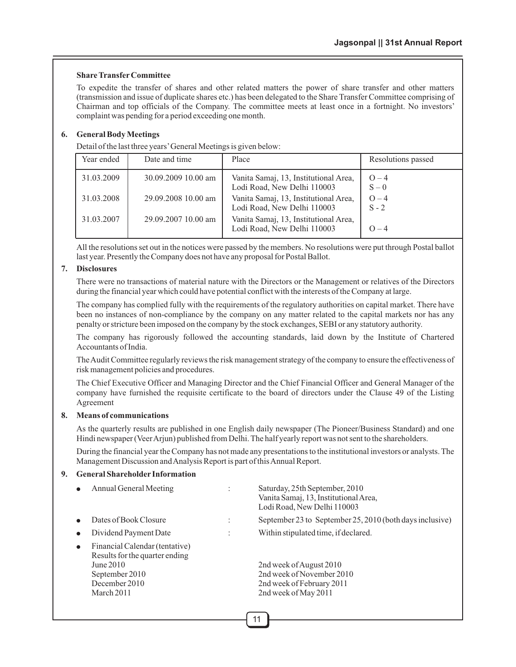#### **Share TransferCommittee**

To expedite the transfer of shares and other related matters the power of share transfer and other matters (transmission and issue of duplicate shares etc.) has been delegated to the Share Transfer Committee comprising of Chairman and top officials of the Company. The committee meets at least once in a fortnight. No investors' complaint was pending for a period exceeding one month.

#### **6. General Body Meetings**

Detail of the last three years'General Meetings is given below:

| Year ended | Date and time       | Place                                                                | Resolutions passed |
|------------|---------------------|----------------------------------------------------------------------|--------------------|
| 31.03.2009 | 30.09.2009 10.00 am | Vanita Samaj, 13, Institutional Area,<br>Lodi Road, New Delhi 110003 | $O - 4$<br>$S - 0$ |
| 31.03.2008 | 29.09.2008 10.00 am | Vanita Samaj, 13, Institutional Area,<br>Lodi Road, New Delhi 110003 | $O - 4$<br>$S - 2$ |
| 31.03.2007 | 29.09.2007 10.00 am | Vanita Samaj, 13, Institutional Area,<br>Lodi Road, New Delhi 110003 | $O - 4$            |

All the resolutions set out in the notices were passed by the members. No resolutions were put through Postal ballot last year. Presently the Company does not have any proposal for Postal Ballot.

#### **7. Disclosures**

There were no transactions of material nature with the Directors or the Management or relatives of the Directors during the financial year which could have potential conflict with the interests of the Company at large.

The company has complied fully with the requirements of the regulatory authorities on capital market. There have been no instances of non-compliance by the company on any matter related to the capital markets nor has any penalty or stricture been imposed on the company by the stock exchanges, SEBI or any statutory authority.

The company has rigorously followed the accounting standards, laid down by the Institute of Chartered Accountants of India.

The Audit Committee regularly reviews the risk management strategy of the company to ensure the effectiveness of risk management policies and procedures.

The Chief Executive Officer and Managing Director and the Chief Financial Officer and General Manager of the company have furnished the requisite certificate to the board of directors under the Clause 49 of the Listing Agreement

#### **8. Means of communications**

As the quarterly results are published in one English daily newspaper (The Pioneer/Business Standard) and one Hindi newspaper (Veer Arjun) published from Delhi. The half yearly report was not sent to the shareholders.

During the financial year the Company has not made any presentations to the institutional investors or analysts. The Management Discussion and Analysis Report is part of this Annual Report.

#### **9. General Shareholder Information**

| Annual General Meeting                                                                                                         | Saturday, 25th September, 2010<br>Vanita Samaj, 13, Institutional Area,<br>Lodi Road, New Delhi 110003    |
|--------------------------------------------------------------------------------------------------------------------------------|-----------------------------------------------------------------------------------------------------------|
| Dates of Book Closure                                                                                                          | September 23 to September 25, 2010 (both days inclusive)                                                  |
| Dividend Payment Date                                                                                                          | Within stipulated time, if declared.                                                                      |
| Financial Calendar (tentative)<br>Results for the quarter ending<br>June 2010<br>September 2010<br>December 2010<br>March 2011 | 2nd week of August 2010<br>2nd week of November 2010<br>2nd week of February 2011<br>2nd week of May 2011 |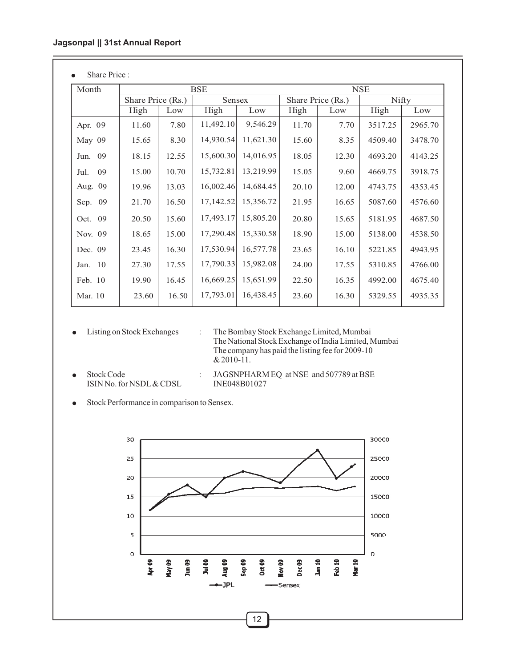• Share Price :

| Month      | <b>BSE</b>        |       |           |           | <b>NSE</b>        |       |         |         |
|------------|-------------------|-------|-----------|-----------|-------------------|-------|---------|---------|
|            | Share Price (Rs.) |       | Sensex    |           | Share Price (Rs.) |       | Nifty   |         |
|            | High              | Low   | High      | Low       | High              | Low   | High    | Low     |
| Apr. 09    | 11.60             | 7.80  | 11,492.10 | 9,546.29  | 11.70             | 7.70  | 3517.25 | 2965.70 |
| May 09     | 15.65             | 8.30  | 14,930.54 | 11,621.30 | 15.60             | 8.35  | 4509.40 | 3478.70 |
| Jun. 09    | 18.15             | 12.55 | 15,600.30 | 14,016.95 | 18.05             | 12.30 | 4693.20 | 4143.25 |
| 09<br>Jul. | 15.00             | 10.70 | 15,732.81 | 13,219.99 | 15.05             | 9.60  | 4669.75 | 3918.75 |
| Aug. 09    | 19.96             | 13.03 | 16,002.46 | 14,684.45 | 20.10             | 12.00 | 4743.75 | 4353.45 |
| Sep. 09    | 21.70             | 16.50 | 17,142.52 | 15,356.72 | 21.95             | 16.65 | 5087.60 | 4576.60 |
| 09<br>Oct. | 20.50             | 15.60 | 17,493.17 | 15,805.20 | 20.80             | 15.65 | 5181.95 | 4687.50 |
| Nov. 09    | 18.65             | 15.00 | 17,290.48 | 15,330.58 | 18.90             | 15.00 | 5138.00 | 4538.50 |
| Dec. 09    | 23.45             | 16.30 | 17,530.94 | 16,577.78 | 23.65             | 16.10 | 5221.85 | 4943.95 |
| Jan. 10    | 27.30             | 17.55 | 17,790.33 | 15,982.08 | 24.00             | 17.55 | 5310.85 | 4766.00 |
| Feb. 10    | 19.90             | 16.45 | 16,669.25 | 15,651.99 | 22.50             | 16.35 | 4992.00 | 4675.40 |
| Mar. 10    | 23.60             | 16.50 | 17,793.01 | 16,438.45 | 23.60             | 16.30 | 5329.55 | 4935.35 |
|            |                   |       |           |           |                   |       |         |         |

• Listing on Stock Exchanges

The National Stock Exchange of India Limited, Mumbai The company has paid the listing fee for 2009-10 & 2010-11. : The Bombay Stock Exchange Limited, Mumbai

ISIN No. for NSDL & CDSL

Stock Code : JAGSNPHARM EQ at NSE and 507789 at BSE<br>ISIN No. for NSDL & CDSL INE048B01027

●Stock Performance in comparison to Sensex.

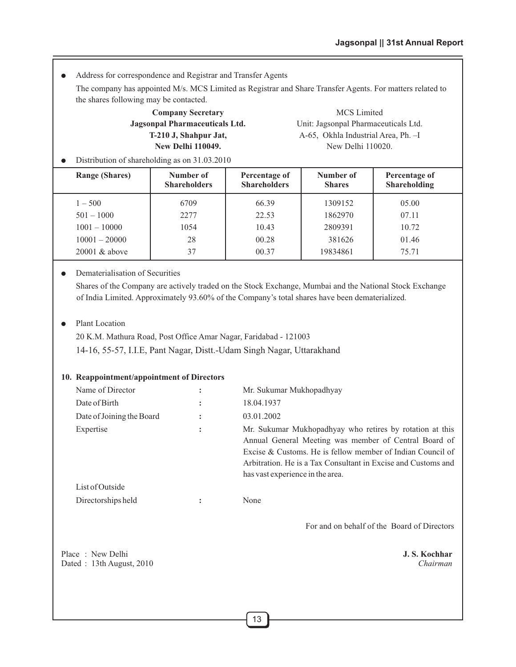● Address for correspondence and Registrar and Transfer Agents

The company has appointed M/s. MCS Limited as Registrar and Share Transfer Agents. For matters related to the shares following may be contacted.

# **Company Secretary** MCS Limited

**Jagsonpal Pharmaceuticals Ltd.** Unit: Jagsonpal Pharmaceuticals Ltd. **T-210 J, Shahpur Jat,** A-65, Okhla Industrial Area, Ph. -I **New Delhi 110049.** New Delhi 110020.

● Distribution of shareholding as on 31.03.2010

| <b>Range (Shares)</b> | Number of<br><b>Shareholders</b> | Percentage of<br><b>Shareholders</b> | Number of<br><b>Shares</b> | Percentage of<br>Shareholding |
|-----------------------|----------------------------------|--------------------------------------|----------------------------|-------------------------------|
| $1 - 500$             | 6709                             | 66.39                                | 1309152                    | 05.00                         |
| $501 - 1000$          | 2277                             | 22.53                                | 1862970                    | 07.11                         |
| $1001 - 10000$        | 1054                             | 10.43                                | 2809391                    | 10.72                         |
| $10001 - 20000$       | 28                               | 00.28                                | 381626                     | 01.46                         |
| $20001 \&$ above      | 37                               | 00.37                                | 19834861                   | 75.71                         |

#### ● Dematerialisation of Securities

Shares of the Company are actively traded on the Stock Exchange, Mumbai and the National Stock Exchange of India Limited. Approximately 93.60% of the Company's total shares have been dematerialized.

#### ● Plant Location

20 K.M. Mathura Road, Post Office Amar Nagar, Faridabad - 121003

14-16, 55-57, I.I.E, Pant Nagar, Distt.-Udam Singh Nagar, Uttarakhand

#### **10. Reappointment/appointment of Directors**

| Name of Director          |                | Mr. Sukumar Mukhopadhyay                                                                                                                                                                                                                                                             |
|---------------------------|----------------|--------------------------------------------------------------------------------------------------------------------------------------------------------------------------------------------------------------------------------------------------------------------------------------|
| Date of Birth             |                | 18.04.1937                                                                                                                                                                                                                                                                           |
| Date of Joining the Board |                | 03.01.2002                                                                                                                                                                                                                                                                           |
| Expertise                 | ٠<br>$\bullet$ | Mr. Sukumar Mukhopadhyay who retires by rotation at this<br>Annual General Meeting was member of Central Board of<br>Excise & Customs. He is fellow member of Indian Council of<br>Arbitration. He is a Tax Consultant in Excise and Customs and<br>has vast experience in the area. |
| List of Outside           |                |                                                                                                                                                                                                                                                                                      |
| Directorships held        |                | None                                                                                                                                                                                                                                                                                 |

For and on behalf of the Board of Directors

Place : New Delhi **J. S. Kochhar J. S. Kochhar** Dated : 13th August, 2010 *Chairman*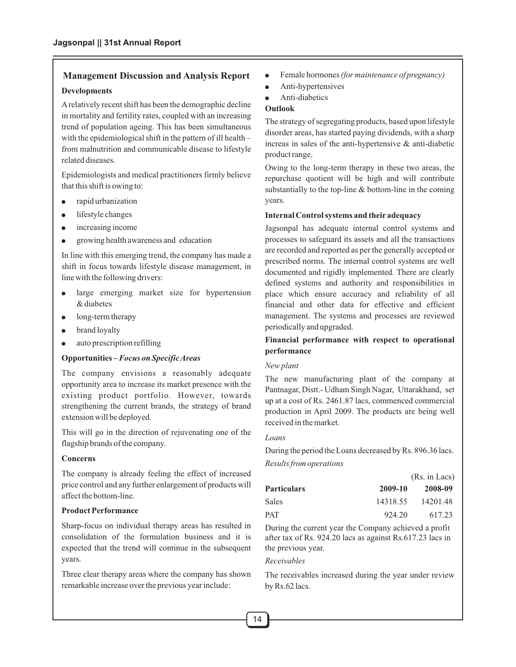# **Management Discussion and Analysis Report**

#### **Developments**

Arelatively recent shift has been the demographic decline in mortality and fertility rates, coupled with an increasing trend of population ageing. This has been simultaneous with the epidemiological shift in the pattern of ill health – from malnutrition and communicable disease to lifestyle related diseases.

Epidemiologists and medical practitioners firmly believe that this shift is owing to:

- rapid urbanization
- lifestyle changes ● rap<br>● life<br>● inc
- increasing income
- growing health awareness and education

In line with this emerging trend, the company has made a shift in focus towards lifestyle disease management, in line with the following drivers:

- large emerging market size for hypertension & diabetes
- long-term therapy
- brand loyalty
- long-term therapy<br>• brand loyalty<br>• auto prescription refilling

#### **Opportunities –** *Focus on Specific Areas*

The company envisions a reasonably adequate opportunity area to increase its market presence with the existing product portfolio. However, towards strengthening the current brands, the strategy of brand extension will be deployed.

This will go in the direction of rejuvenating one of the flagship brands of the company.

#### **Concerns**

The company is already feeling the effect of increased price control and any further enlargement of products will affect the bottom-line.

#### **Product Performance**

Sharp-focus on individual therapy areas has resulted in consolidation of the formulation business and it is expected that the trend will continue in the subsequent years.

Three clear therapy areas where the company has shown remarkable increase over the previous year include:

- Female hormones *(for maintenance of pregnancy)*
- Anti-hypertensives
- Anti-diabetics

#### **Outlook**

The strategy of segregating products, based upon lifestyle disorder areas, has started paying dividends, with a sharp increas in sales of the anti-hypertensive & anti-diabetic product range.

Owing to the long-term therapy in these two areas, the repurchase quotient will be high and will contribute substantially to the top-line & bottom-line in the coming years.

#### **Internal Control systems and their adequacy**

Jagsonpal has adequate internal control systems and processes to safeguard its assets and all the transactions are recorded and reported as per the generally accepted or prescribed norms. The internal control systems are well documented and rigidly implemented. There are clearly defined systems and authority and responsibilities in place which ensure accuracy and reliability of all financial and other data for effective and efficient management. The systems and processes are reviewed periodically and upgraded.

#### **Financial performance with respect to operational performance**

#### *New plant*

The new manufacturing plant of the company at Pantnagar, Distt.- Udham Singh Nagar, Uttarakhand, set up at a cost of Rs. 2461.87 lacs, commenced commercial production in April 2009. The products are being well received in the market.

#### *Loans*

During the period the Loans decreased by Rs. 896.36 lacs. *Results from operations*

|          | (Rs. in Lacs) |
|----------|---------------|
| 2009-10  | 2008-09       |
| 14318.55 | 14201.48      |
| 924.20   | 617.23        |
|          |               |

During the current year the Company achieved a profit after tax of Rs. 924.20 lacs as against Rs.617.23 lacs in the previous year.

#### *Receivables*

The receivables increased during the year under review by Rs.62 lacs.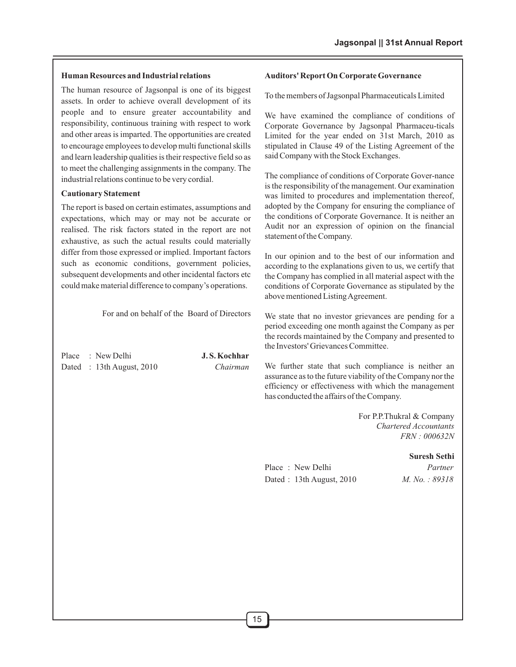#### **Human Resources and Industrial relations**

The human resource of Jagsonpal is one of its biggest assets. In order to achieve overall development of its people and to ensure greater accountability and responsibility, continuous training with respect to work and other areas is imparted. The opportunities are created to encourage employees to develop multi functional skills and learn leadership qualities is their respective field so as to meet the challenging assignments in the company. The industrial relations continue to be very cordial.

#### **Cautionary Statement**

The report is based on certain estimates, assumptions and expectations, which may or may not be accurate or realised. The risk factors stated in the report are not exhaustive, as such the actual results could materially differ from those expressed or implied. Important factors such as economic conditions, government policies, subsequent developments and other incidental factors etc could make material difference to company's operations.

For and on behalf of the Board of Directors

Place : New Delhi **J. S. Kochhar** Dated : 13th August, 2010 *Chairman*

#### **Auditors' Report On Corporate Governance**

To the members of Jagsonpal Pharmaceuticals Limited

We have examined the compliance of conditions of Corporate Governance by Jagsonpal Pharmaceu-ticals Limited for the year ended on 31st March, 2010 as stipulated in Clause 49 of the Listing Agreement of the said Company with the Stock Exchanges.

The compliance of conditions of Corporate Gover-nance is the responsibility of the management. Our examination was limited to procedures and implementation thereof, adopted by the Company for ensuring the compliance of the conditions of Corporate Governance. It is neither an Audit nor an expression of opinion on the financial statement of the Company.

In our opinion and to the best of our information and according to the explanations given to us, we certify that the Company has complied in all material aspect with the conditions of Corporate Governance as stipulated by the above mentioned Listing Agreement.

We state that no investor grievances are pending for a period exceeding one month against the Company as per the records maintained by the Company and presented to the Investors' Grievances Committee.

We further state that such compliance is neither an assurance as to the future viability of the Company nor the efficiency or effectiveness with which the management has conducted the affairs of the Company.

> For P.P.Thukral & Company *Chartered Accountants FRN : 000632N*

#### **Suresh Sethi**

Place : New Delhi *Partner* Dated : 13th August, 2010 *M. No. : 89318*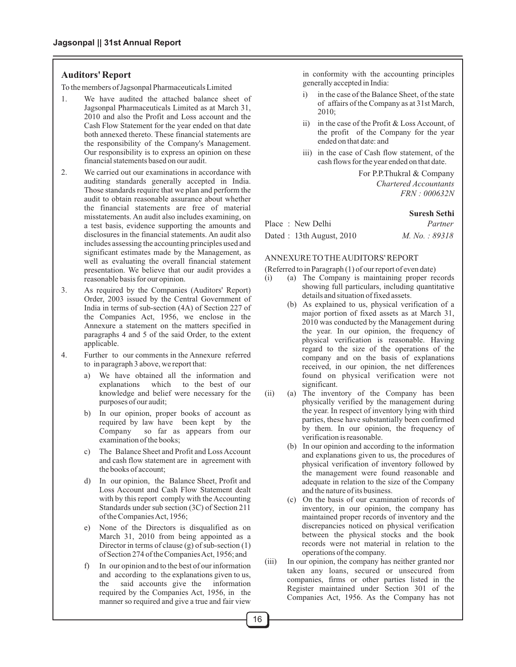#### **Auditors' Report**

To the members of Jagsonpal Pharmaceuticals Limited

- 1. We have audited the attached balance sheet of Jagsonpal Pharmaceuticals Limited as at March 31, 2010 and also the Profit and Loss account and the Cash Flow Statement for the year ended on that date both annexed thereto. These financial statements are the responsibility of the Company's Management. Our responsibility is to express an opinion on these financial statements based on our audit.
- 2. We carried out our examinations in accordance with auditing standards generally accepted in India. Those standards require that we plan and perform the audit to obtain reasonable assurance about whether the financial statements are free of material misstatements. An audit also includes examining, on a test basis, evidence supporting the amounts and disclosures in the financial statements. An audit also includes assessing the accounting principles used and significant estimates made by the Management, as well as evaluating the overall financial statement presentation. We believe that our audit provides a reasonable basis for our opinion.
- 3. As required by the Companies (Auditors' Report) Order, 2003 issued by the Central Government of India in terms of sub-section (4A) of Section 227 of the Companies Act, 1956, we enclose in the Annexure a statement on the matters specified in paragraphs 4 and 5 of the said Order, to the extent applicable.
- 4. Further to our comments in the Annexure referred to in paragraph 3 above, we report that:
	- a) We have obtained all the information and explanations which to the best of our knowledge and belief were necessary for the purposes of our audit;
	- b) In our opinion, proper books of account as required by law have been kept by the Company so far as appears from our examination of the books;
	- c) The Balance Sheet and Profit and Loss Account and cash flow statement are in agreement with the books of account;
	- d) In our opinion, the Balance Sheet, Profit and Loss Account and Cash Flow Statement dealt with by this report comply with the Accounting Standards under sub section (3C) of Section 211 of the Companies Act, 1956;
	- e) None of the Directors is disqualified as on March 31, 2010 from being appointed as a Director in terms of clause (g) of sub-section (1) of Section 274 of the Companies Act, 1956; and
	- f) In our opinion and to the best of our information and according to the explanations given to us,<br>the said accounts give the information said accounts give the information required by the Companies Act, 1956, in the manner so required and give a true and fair view

in conformity with the accounting principles generally accepted in India:

- i) in the case of the Balance Sheet, of the state of affairs of the Company as at 31st March, 2010;
- ii) in the case of the Profit & Loss Account, of the profit of the Company for the year ended on that date: and
- iii) in the case of Cash flow statement, of the cash flows for the year ended on that date.

For P.P.Thukral & Company *Chartered Accountants FRN : 000632N*

#### **Suresh Sethi**

| Place: New Delhi         | Partner        |
|--------------------------|----------------|
| Dated: 13th August, 2010 | M. No. : 89318 |

#### ANNEXURE TO THE AUDITORS' REPORT

(Referred to in Paragraph (1) of our report of even date)

- (i) (a) The Company is maintaining proper records showing full particulars, including quantitative details and situation of fixed assets.
	- (b) As explained to us, physical verification of a major portion of fixed assets as at March 31, 2010 was conducted by the Management during the year. In our opinion, the frequency of physical verification is reasonable. Having regard to the size of the operations of the company and on the basis of explanations received, in our opinion, the net differences found on physical verification were not significant.
- (ii) (a) The inventory of the Company has been physically verified by the management during the year. In respect of inventory lying with third parties, these have substantially been confirmed by them. In our opinion, the frequency of verification is reasonable.
	- (b) In our opinion and according to the information and explanations given to us, the procedures of physical verification of inventory followed by the management were found reasonable and adequate in relation to the size of the Company and the nature of its business.
	- (c) On the basis of our examination of records of inventory, in our opinion, the company has maintained proper records of inventory and the discrepancies noticed on physical verification between the physical stocks and the book records were not material in relation to the operations of the company.
- (iii) In our opinion, the company has neither granted nor taken any loans, secured or unsecured from companies, firms or other parties listed in the Register maintained under Section 301 of the Companies Act, 1956. As the Company has not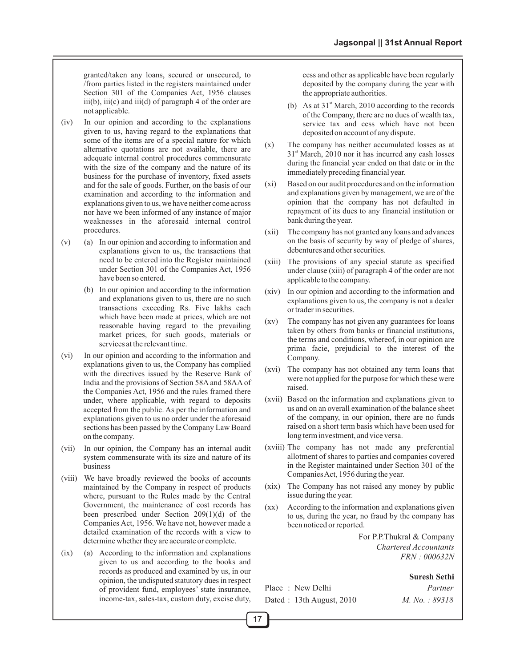granted/taken any loans, secured or unsecured, to /from parties listed in the registers maintained under Section 301 of the Companies Act, 1956 clauses  $iii(b), iii(c)$  and  $iii(d)$  of paragraph 4 of the order are not applicable.

- (iv) In our opinion and according to the explanations given to us, having regard to the explanations that some of the items are of a special nature for which alternative quotations are not available, there are adequate internal control procedures commensurate with the size of the company and the nature of its business for the purchase of inventory, fixed assets and for the sale of goods. Further, on the basis of our examination and according to the information and explanations given to us, we have neither come across nor have we been informed of any instance of major weaknesses in the aforesaid internal control procedures.
- $(v)$  (a) In our opinion and according to information and explanations given to us, the transactions that need to be entered into the Register maintained under Section 301 of the Companies Act, 1956 have been so entered.
	- (b) In our opinion and according to the information and explanations given to us, there are no such transactions exceeding Rs. Five lakhs each which have been made at prices, which are not reasonable having regard to the prevailing market prices, for such goods, materials or services at the relevant time.
- (vi) In our opinion and according to the information and explanations given to us, the Company has complied with the directives issued by the Reserve Bank of India and the provisions of Section 58A and 58AA of the Companies Act, 1956 and the rules framed there under, where applicable, with regard to deposits accepted from the public. As per the information and explanations given to us no order under the aforesaid sections has been passed by the Company Law Board on the company.
- (vii) In our opinion, the Company has an internal audit system commensurate with its size and nature of its business
- (viii) We have broadly reviewed the books of accounts maintained by the Company in respect of products where, pursuant to the Rules made by the Central Government, the maintenance of cost records has been prescribed under Section 209(1)(d) of the Companies Act, 1956. We have not, however made a detailed examination of the records with a view to determine whether they are accurate or complete.
- (ix) (a) According to the information and explanations given to us and according to the books and records as produced and examined by us, in our opinion, the undisputed statutory dues in respect of provident fund, employees' state insurance, income-tax, sales-tax, custom duty, excise duty,

cess and other as applicable have been regularly deposited by the company during the year with the appropriate authorities.

- (b) As at  $31<sup>st</sup>$  March, 2010 according to the records of the Company, there are no dues of wealth tax, service tax and cess which have not been deposited on account of any dispute.
- (x) The company has neither accumulated losses as at  $31<sup>st</sup>$  March, 2010 nor it has incurred any cash losses during the financial year ended on that date or in the immediately preceding financial year.
- (xi) Based on our audit procedures and on the information and explanations given by management, we are of the opinion that the company has not defaulted in repayment of its dues to any financial institution or bank during the year.
- (xii) The company has not granted any loans and advances on the basis of security by way of pledge of shares, debentures and other securities.
- (xiii) The provisions of any special statute as specified under clause (xiii) of paragraph 4 of the order are not applicable to the company.
- (xiv) In our opinion and according to the information and explanations given to us, the company is not a dealer or trader in securities.
- (xv) The company has not given any guarantees for loans taken by others from banks or financial institutions, the terms and conditions, whereof, in our opinion are prima facie, prejudicial to the interest of the Company.
- (xvi) The company has not obtained any term loans that were not applied for the purpose for which these were raised.
- (xvii) Based on the information and explanations given to us and on an overall examination of the balance sheet of the company, in our opinion, there are no funds raised on a short term basis which have been used for long term investment, and vice versa.
- (xviii) The company has not made any preferential allotment of shares to parties and companies covered in the Register maintained under Section 301 of the Companies Act, 1956 during the year.
- (xix) The Company has not raised any money by public issue during the year.
- (xx) According to the information and explanations given to us, during the year, no fraud by the company has been noticed or reported.

For P.P.Thukral & Company *Chartered Accountants FRN : 000632N*

#### **Suresh Sethi**

| Place: New Delhi         | Partner       |
|--------------------------|---------------|
| Dated: 13th August, 2010 | M. No.: 89318 |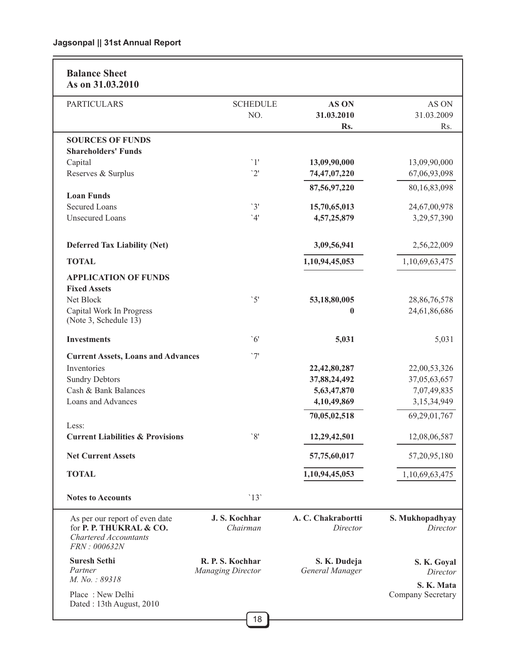| <b>Balance Sheet</b><br>As on 31.03.2010                                                                  |                          |                                |                             |
|-----------------------------------------------------------------------------------------------------------|--------------------------|--------------------------------|-----------------------------|
| <b>PARTICULARS</b>                                                                                        | <b>SCHEDULE</b>          | AS ON                          | AS ON                       |
|                                                                                                           | NO.                      | 31.03.2010                     | 31.03.2009                  |
|                                                                                                           |                          | Rs.                            | Rs.                         |
| <b>SOURCES OF FUNDS</b>                                                                                   |                          |                                |                             |
| <b>Shareholders' Funds</b>                                                                                |                          |                                |                             |
| Capital                                                                                                   | $\lceil$ 1'              | 13,09,90,000                   | 13,09,90,000                |
| Reserves & Surplus                                                                                        | '2'                      | 74,47,07,220                   | 67,06,93,098                |
|                                                                                                           |                          |                                |                             |
| <b>Loan Funds</b>                                                                                         |                          | 87,56,97,220                   | 80,16,83,098                |
| <b>Secured Loans</b>                                                                                      | '3'                      | 15,70,65,013                   | 24,67,00,978                |
| <b>Unsecured Loans</b>                                                                                    | '4'                      | 4,57,25,879                    | 3,29,57,390                 |
|                                                                                                           |                          |                                |                             |
| <b>Deferred Tax Liability (Net)</b>                                                                       |                          | 3,09,56,941                    | 2,56,22,009                 |
| <b>TOTAL</b>                                                                                              |                          | 1,10,94,45,053                 | 1,10,69,63,475              |
| <b>APPLICATION OF FUNDS</b>                                                                               |                          |                                |                             |
| <b>Fixed Assets</b>                                                                                       |                          |                                |                             |
| Net Block                                                                                                 | $\mathcal{S}'$           | 53,18,80,005                   | 28,86,76,578                |
| Capital Work In Progress                                                                                  |                          | $\bf{0}$                       | 24,61,86,686                |
| (Note 3, Schedule 13)                                                                                     |                          |                                |                             |
| <b>Investments</b>                                                                                        | $\degree$ 6'             | 5,031                          | 5,031                       |
| <b>Current Assets, Loans and Advances</b>                                                                 | '7'                      |                                |                             |
| Inventories                                                                                               |                          | 22,42,80,287                   | 22,00,53,326                |
| <b>Sundry Debtors</b>                                                                                     |                          | 37,88,24,492                   | 37,05,63,657                |
| Cash & Bank Balances                                                                                      |                          | 5,63,47,870                    | 7,07,49,835                 |
| Loans and Advances                                                                                        |                          | 4,10,49,869                    | 3,15,34,949                 |
|                                                                                                           |                          | 70,05,02,518                   | 69,29,01,767                |
| Less:                                                                                                     |                          |                                |                             |
| <b>Current Liabilities &amp; Provisions</b>                                                               | $\mathcal{S}'$           | 12,29,42,501                   | 12,08,06,587                |
| <b>Net Current Assets</b>                                                                                 |                          | 57,75,60,017                   | 57, 20, 95, 180             |
| <b>TOTAL</b>                                                                                              |                          | 1,10,94,45,053                 | 1,10,69,63,475              |
| <b>Notes to Accounts</b>                                                                                  | '13'                     |                                |                             |
| As per our report of even date<br>for P. P. THUKRAL & CO.<br><b>Chartered Accountants</b><br>FRN: 000632N | J.S. Kochhar<br>Chairman | A. C. Chakrabortti<br>Director | S. Mukhopadhyay<br>Director |
| <b>Suresh Sethi</b>                                                                                       | R. P. S. Kochhar         | S. K. Dudeja                   | S. K. Goyal                 |
| Partner                                                                                                   | <b>Managing Director</b> | General Manager                | Director                    |
| M. No.: 89318                                                                                             |                          |                                | S. K. Mata                  |
| Place: New Delhi                                                                                          |                          |                                | Company Secretary           |
| Dated: 13th August, 2010                                                                                  |                          |                                |                             |
|                                                                                                           | 40                       |                                |                             |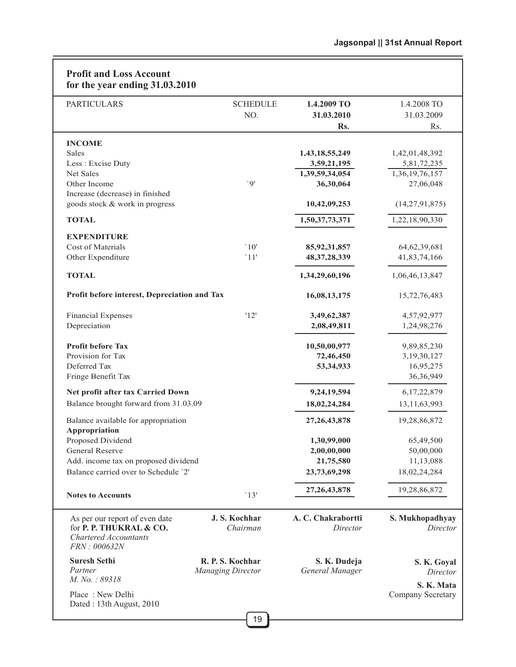| <b>Profit and Loss Account</b><br>for the year ending 31.03.2010                                          |                                              |                                 |                                 |
|-----------------------------------------------------------------------------------------------------------|----------------------------------------------|---------------------------------|---------------------------------|
| <b>PARTICULARS</b>                                                                                        | <b>SCHEDULE</b>                              | 1.4.2009 TO                     | 1.4.2008 TO                     |
|                                                                                                           | NO.                                          | 31.03.2010                      | 31.03.2009                      |
|                                                                                                           |                                              | Rs.                             | Rs.                             |
| <b>INCOME</b>                                                                                             |                                              |                                 |                                 |
| Sales                                                                                                     |                                              | 1,43,18,55,249                  | 1,42,01,48,392                  |
| Less: Excise Duty                                                                                         |                                              | 3,59,21,195                     | 5,81,72,235                     |
| Net Sales                                                                                                 |                                              | 1,39,59,34,054                  | 1,36,19,76,157                  |
| Other Income                                                                                              | 'Q'                                          | 36,30,064                       | 27,06,048                       |
| Increase (decrease) in finished                                                                           |                                              |                                 |                                 |
| goods stock & work in progress                                                                            |                                              | 10,42,09,253                    | (14, 27, 91, 875)               |
| <b>TOTAL</b>                                                                                              |                                              | 1,50,37,73,371                  | 1,22,18,90,330                  |
| <b>EXPENDITURE</b>                                                                                        |                                              |                                 |                                 |
| Cost of Materials                                                                                         | '10'                                         | 85, 92, 31, 857                 | 64, 62, 39, 681                 |
| Other Expenditure                                                                                         | '11'                                         | 48, 37, 28, 339                 | 41,83,74,166                    |
| <b>TOTAL</b>                                                                                              |                                              | 1,34,29,60,196                  | 1,06,46,13,847                  |
| Profit before interest, Depreciation and Tax                                                              |                                              | 16,08,13,175                    | 15,72,76,483                    |
| <b>Financial Expenses</b>                                                                                 | '12'                                         | 3,49,62,387                     | 4,57,92,977                     |
| Depreciation                                                                                              |                                              | 2,08,49,811                     | 1,24,98,276                     |
|                                                                                                           |                                              |                                 |                                 |
| <b>Profit before Tax</b>                                                                                  |                                              | 10,50,00,977                    | 9,89,85,230                     |
| Provision for Tax                                                                                         |                                              | 72,46,450                       | 3,19,30,127                     |
| Deferred Tax                                                                                              |                                              | 53, 34, 933                     | 16,95,275                       |
| Fringe Benefit Tax                                                                                        |                                              |                                 | 36, 36, 949                     |
| Net profit after tax Carried Down                                                                         |                                              | 9,24,19,594                     | 6,17,22,879                     |
| Balance brought forward from 31.03.09                                                                     |                                              | 18,02,24,284                    | 13, 11, 63, 993                 |
| Balance available for appropriation<br>Appropriation                                                      |                                              | 27, 26, 43, 878                 | 19,28,86,872                    |
| Proposed Dividend                                                                                         |                                              | 1,30,99,000                     | 65,49,500                       |
| <b>General Reserve</b>                                                                                    |                                              | 2,00,00,000                     | 50,00,000                       |
| Add. income tax on proposed dividend                                                                      |                                              | 21,75,580                       | 11,13,088                       |
| Balance carried over to Schedule '2'                                                                      |                                              | 23,73,69,298                    | 18,02,24,284                    |
| <b>Notes to Accounts</b>                                                                                  | '13'                                         | 27, 26, 43, 878                 | 19,28,86,872                    |
| As per our report of even date<br>for P. P. THUKRAL & CO.<br><b>Chartered Accountants</b><br>FRN: 000632N | J. S. Kochhar<br>Chairman                    | A. C. Chakrabortti<br>Director  | S. Mukhopadhyay<br>Director     |
| <b>Suresh Sethi</b><br>Partner<br>M. No.: 89318                                                           | R. P. S. Kochhar<br><b>Managing Director</b> | S. K. Dudeja<br>General Manager | S. K. Goyal<br>Director         |
| Place: New Delhi<br>Dated: 13th August, 2010                                                              |                                              |                                 | S. K. Mata<br>Company Secretary |
|                                                                                                           |                                              |                                 |                                 |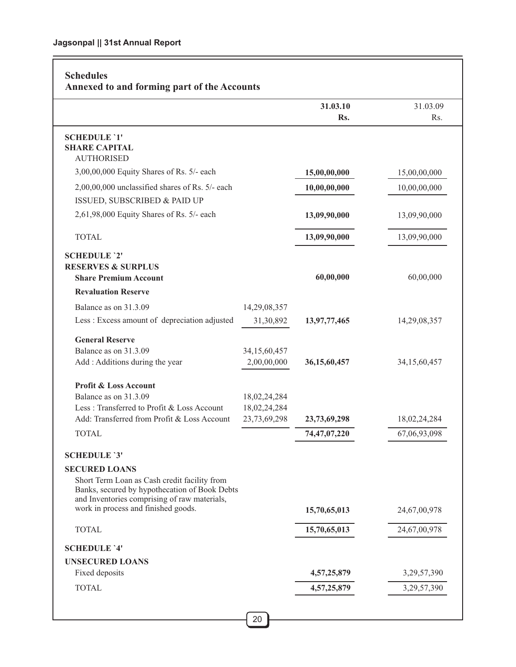# **31.03.10** 31.03.09 Rs. Rs. **Schedules Annexed to and forming part of the Accounts SCHEDULE `1' SHARE CAPITAL** AUTHORISED 3,00,00,000 Equity Shares of Rs. 5/- each **15,00,00,000** 15,00,00,000 2,00,00,000 unclassified shares of Rs. 5/- each **10,00,00,000** 10,00,00,000 ISSUED, SUBSCRIBED & PAID UP 2,61,98,000 Equity Shares of Rs. 5/- each **13,09,90,000** 13,09,90,000 TOTAL **13,09,90,000** 13,09,90,000 **SCHEDULE `2' RESERVES & SURPLUS Share Premium Account 60,00,000** 60,00,000 60,00,000 60,00,000 60,00,000 60,00,000 60,00,000 60,00,000 60,00,000 60,00,000 60,00,000 60,00,000 60,00,000 60,00,000 60,00,000 60,00,000 60,00,000 60,00,000 60,00,000 60,00, **Revaluation Reserve** Balance as on 31.3.09 14,29,08,357 Less : Excess amount of depreciation adjusted 31,30,892 **13,97,77,465** 14,29,08,357 **General Reserve** Balance as on 31.3.09 34,15,60,457 Add : Additions during the year 2,00,00,000 **36,15,60,457** 34,15,60,457 **Profit & Loss Account** Balance as on 31.3.09 18,02,24,284 Less : Transferred to Profit & Loss Account 18,02,24,284 Add: Transferred from Profit & Loss Account 23,73,69,298 **23,73,69,298** 18,02,24,284 TOTAL **74,47,07,220** 67,06,93,098  **SCHEDULE `3' SECURED LOANS** Short Term Loan as Cash credit facility from Banks, secured by hypothecation of Book Debts and Inventories comprising of raw materials, work in process and finished goods. **15,70,65,013** 24,67,00,978 TOTAL **15,70,65,013** 24,67,00,978 **SCHEDULE `4' UNSECURED LOANS** Fixed deposits **4,57,25,879** 3,29,57,390 **TOTAL** 3,29,57,390 3,29,57,390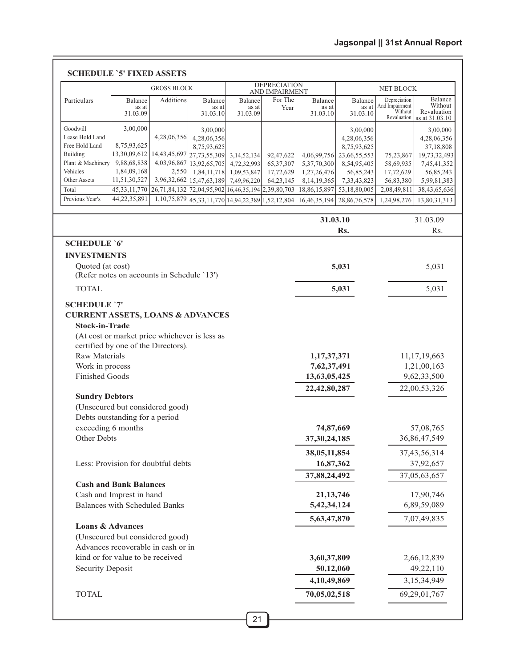### **SCHEDULE `5' FIXED ASSETS**

|                                             |                                                           | <b>GROSS BLOCK</b>                                 |                                       |                               | <b>DEPRECIATION</b>      |                              |                              | NET BLOCK                                 |                             |
|---------------------------------------------|-----------------------------------------------------------|----------------------------------------------------|---------------------------------------|-------------------------------|--------------------------|------------------------------|------------------------------|-------------------------------------------|-----------------------------|
|                                             |                                                           |                                                    |                                       |                               | AND IMPAIRMENT           |                              |                              |                                           | Balance                     |
| Particulars                                 | <b>Balance</b><br>as at<br>31.03.09                       | Additions                                          | Balance<br>as at<br>31.03.10          | Balance<br>as at<br>31.03.09  | For The<br>Year          | Balance<br>as at<br>31.03.10 | Balance<br>as at<br>31.03.10 | Depreciation<br>And Impairment<br>Without | Without<br>Revaluation      |
|                                             |                                                           |                                                    |                                       |                               |                          |                              |                              | Revaluation                               | as at 31.03.10              |
| Goodwill                                    | 3,00,000                                                  |                                                    | 3,00,000                              |                               |                          |                              | 3,00,000                     |                                           | 3,00,000                    |
| Lease Hold Land                             |                                                           | 4,28,06,356                                        | 4,28,06,356                           |                               |                          |                              | 4,28,06,356                  |                                           | 4,28,06,356                 |
| Free Hold Land<br>Building                  | 8,75,93,625<br>13,30,09,612                               | 14,43,45,697 27,73,55,309                          | 8,75,93,625                           |                               |                          | 4,06,99,756                  | 8,75,93,625                  |                                           | 37,18,808                   |
| Plant & Machinery                           | 9,88,68,838                                               | 4,03,96,867                                        | 13,92,65,705                          | 3, 14, 52, 134<br>4,72,32,993 | 92,47,622<br>65, 37, 307 | 5, 37, 70, 300               | 23,66,55,553<br>8,54,95,405  | 75,23,867<br>58,69,935                    | 19,73,32,493<br>7,45,41,352 |
| Vehicles                                    | 1,84,09,168                                               | 2,550                                              | 1,84,11,718                           | 1,09,53,847                   | 17,72,629                | 1,27,26,476                  | 56,85,243                    | 17,72,629                                 | 56,85,243                   |
| <b>Other Assets</b>                         | 11,51,30,527                                              | 3,96,32,662                                        | 15,47,63,189                          | 7,49,96,220                   | 64, 23, 145              | 8, 14, 19, 365               | 7,33,43,823                  | 56,83,380                                 | 5,99,81,383                 |
| Total                                       | 45, 33, 11, 770                                           | 26,71,84,132 72,04,95,902 16,46,35,194 2,39,80,703 |                                       |                               |                          | 18,86,15,897                 | 53,18,80,005                 | 2,08,49,811                               | 38,43,65,636                |
| Previous Year's                             | 44,22,35,891                                              | 1,10,75,879                                        | 45,33,11,770 14,94,22,389 1,52,12,804 |                               |                          | 16,46,35,194                 | 28,86,76,578                 | 1,24,98,276                               | 13,80,31,313                |
|                                             |                                                           |                                                    |                                       |                               |                          | 31.03.10                     |                              |                                           | 31.03.09                    |
|                                             |                                                           |                                                    |                                       |                               |                          |                              | Rs.                          |                                           | Rs.                         |
| <b>SCHEDULE '6'</b>                         |                                                           |                                                    |                                       |                               |                          |                              |                              |                                           |                             |
| <b>INVESTMENTS</b>                          |                                                           |                                                    |                                       |                               |                          |                              |                              |                                           |                             |
| Quoted (at cost)                            |                                                           |                                                    |                                       |                               |                          |                              | 5,031                        |                                           | 5,031                       |
|                                             | (Refer notes on accounts in Schedule '13')                |                                                    |                                       |                               |                          |                              |                              |                                           |                             |
| <b>TOTAL</b>                                |                                                           |                                                    |                                       |                               |                          |                              | 5,031                        |                                           | 5,031                       |
| <b>SCHEDULE '7'</b>                         |                                                           |                                                    |                                       |                               |                          |                              |                              |                                           |                             |
| <b>CURRENT ASSETS, LOANS &amp; ADVANCES</b> |                                                           |                                                    |                                       |                               |                          |                              |                              |                                           |                             |
| <b>Stock-in-Trade</b>                       |                                                           |                                                    |                                       |                               |                          |                              |                              |                                           |                             |
|                                             | (At cost or market price whichever is less as             |                                                    |                                       |                               |                          |                              |                              |                                           |                             |
|                                             | certified by one of the Directors).                       |                                                    |                                       |                               |                          |                              |                              |                                           |                             |
| <b>Raw Materials</b>                        |                                                           |                                                    |                                       |                               |                          | 1,17,37,371                  |                              |                                           | 11,17,19,663                |
| Work in process                             |                                                           |                                                    |                                       |                               |                          | 7,62,37,491                  |                              |                                           | 1,21,00,163                 |
| <b>Finished Goods</b>                       |                                                           |                                                    |                                       |                               |                          | 13,63,05,425                 |                              |                                           | 9,62,33,500                 |
|                                             |                                                           |                                                    |                                       |                               |                          | 22,42,80,287<br>22,00,53,326 |                              |                                           |                             |
| <b>Sundry Debtors</b>                       |                                                           |                                                    |                                       |                               |                          |                              |                              |                                           |                             |
|                                             | (Unsecured but considered good)                           |                                                    |                                       |                               |                          |                              |                              |                                           |                             |
|                                             | Debts outstanding for a period                            |                                                    |                                       |                               |                          |                              |                              |                                           |                             |
| exceeding 6 months                          |                                                           |                                                    |                                       |                               |                          | 74,87,669                    |                              |                                           | 57,08,765                   |
| Other Debts                                 |                                                           |                                                    |                                       |                               |                          | 37, 30, 24, 185              |                              |                                           | 36,86,47,549                |
|                                             |                                                           |                                                    |                                       |                               |                          | 38,05,11,854                 |                              |                                           | 37, 43, 56, 314             |
|                                             | Less: Provision for doubtful debts                        |                                                    |                                       |                               |                          | 16,87,362                    |                              |                                           | 37,92,657                   |
|                                             |                                                           |                                                    |                                       |                               |                          | 37,88,24,492                 |                              |                                           | 37,05,63,657                |
|                                             | <b>Cash and Bank Balances</b><br>Cash and Imprest in hand |                                                    |                                       |                               |                          | 21, 13, 746                  |                              |                                           | 17,90,746                   |
|                                             | <b>Balances with Scheduled Banks</b>                      |                                                    |                                       |                               |                          | 5,42,34,124                  |                              |                                           | 6,89,59,089                 |
|                                             |                                                           |                                                    |                                       |                               |                          | 5,63,47,870                  |                              |                                           | 7,07,49,835                 |
|                                             |                                                           |                                                    |                                       |                               |                          |                              |                              |                                           |                             |
| <b>Loans &amp; Advances</b>                 |                                                           | (Unsecured but considered good)                    |                                       |                               |                          |                              |                              |                                           |                             |
|                                             |                                                           |                                                    |                                       |                               |                          |                              |                              |                                           |                             |
|                                             | Advances recoverable in cash or in                        |                                                    |                                       |                               |                          |                              |                              |                                           |                             |
|                                             | kind or for value to be received                          |                                                    |                                       |                               |                          | 3,60,37,809                  |                              |                                           | 2,66,12,839                 |
| <b>Security Deposit</b>                     |                                                           |                                                    |                                       |                               |                          | 50,12,060                    |                              |                                           | 49,22,110                   |
|                                             |                                                           |                                                    |                                       |                               |                          | 4,10,49,869                  |                              |                                           | 3,15,34,949                 |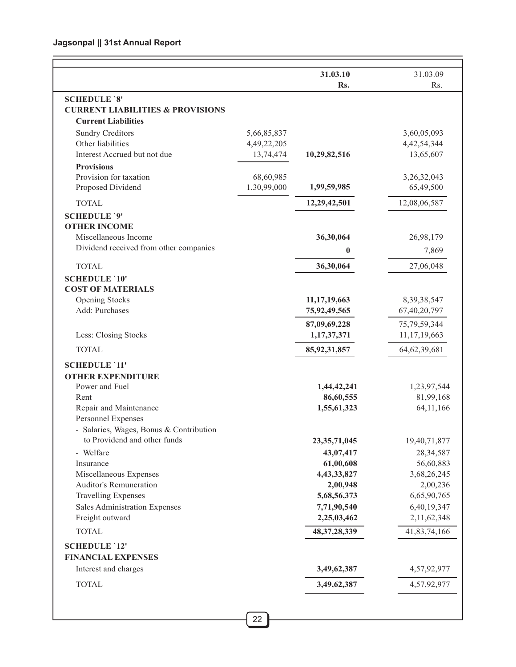|                                                                    |             | 31.03.10<br>Rs.         | 31.03.09<br>Rs.         |
|--------------------------------------------------------------------|-------------|-------------------------|-------------------------|
|                                                                    |             |                         |                         |
| <b>SCHEDULE `8'</b><br><b>CURRENT LIABILITIES &amp; PROVISIONS</b> |             |                         |                         |
| <b>Current Liabilities</b>                                         |             |                         |                         |
| <b>Sundry Creditors</b>                                            | 5,66,85,837 |                         | 3,60,05,093             |
| Other liabilities                                                  | 4,49,22,205 |                         | 4, 42, 54, 344          |
| Interest Accrued but not due                                       | 13,74,474   | 10,29,82,516            | 13,65,607               |
| <b>Provisions</b>                                                  |             |                         |                         |
| Provision for taxation                                             | 68,60,985   |                         | 3,26,32,043             |
| Proposed Dividend                                                  | 1,30,99,000 | 1,99,59,985             | 65,49,500               |
| <b>TOTAL</b>                                                       |             | 12,29,42,501            | 12,08,06,587            |
| <b>SCHEDULE '9'</b>                                                |             |                         |                         |
| <b>OTHER INCOME</b>                                                |             |                         |                         |
| Miscellaneous Income                                               |             | 36,30,064               | 26,98,179               |
| Dividend received from other companies                             |             | $\bf{0}$                | 7,869                   |
| <b>TOTAL</b>                                                       |             | 36,30,064               | 27,06,048               |
| <b>SCHEDULE '10'</b>                                               |             |                         |                         |
| <b>COST OF MATERIALS</b>                                           |             |                         |                         |
| <b>Opening Stocks</b>                                              |             | 11, 17, 19, 663         | 8,39,38,547             |
| Add: Purchases                                                     |             | 75,92,49,565            | 67,40,20,797            |
|                                                                    |             | 87,09,69,228            | 75,79,59,344            |
| Less: Closing Stocks                                               |             | 1,17,37,371             | 11, 17, 19, 663         |
| <b>TOTAL</b>                                                       |             | 85, 92, 31, 857         | 64, 62, 39, 681         |
| <b>SCHEDULE '11'</b>                                               |             |                         |                         |
| <b>OTHER EXPENDITURE</b>                                           |             |                         |                         |
| Power and Fuel                                                     |             | 1,44,42,241             | 1,23,97,544             |
| Rent                                                               |             | 86,60,555               | 81,99,168               |
| Repair and Maintenance                                             |             | 1,55,61,323             | 64, 11, 166             |
| Personnel Expenses                                                 |             |                         |                         |
| - Salaries, Wages, Bonus & Contribution                            |             |                         |                         |
| to Providend and other funds                                       |             | 23, 35, 71, 045         | 19,40,71,877            |
| - Welfare                                                          |             | 43,07,417               | 28, 34, 587             |
| Insurance                                                          |             | 61,00,608               | 56,60,883               |
| Miscellaneous Expenses<br>Auditor's Remuneration                   |             | 4,43,33,827             | 3,68,26,245             |
| <b>Travelling Expenses</b>                                         |             | 2,00,948<br>5,68,56,373 | 2,00,236<br>6,65,90,765 |
| Sales Administration Expenses                                      |             | 7,71,90,540             | 6,40,19,347             |
| Freight outward                                                    |             | 2,25,03,462             | 2,11,62,348             |
| <b>TOTAL</b>                                                       |             | 48, 37, 28, 339         | 41,83,74,166            |
| <b>SCHEDULE '12'</b>                                               |             |                         |                         |
| <b>FINANCIAL EXPENSES</b>                                          |             |                         |                         |
| Interest and charges                                               |             | 3,49,62,387             | 4,57,92,977             |
| <b>TOTAL</b>                                                       |             | 3,49,62,387             | 4,57,92,977             |
|                                                                    |             |                         |                         |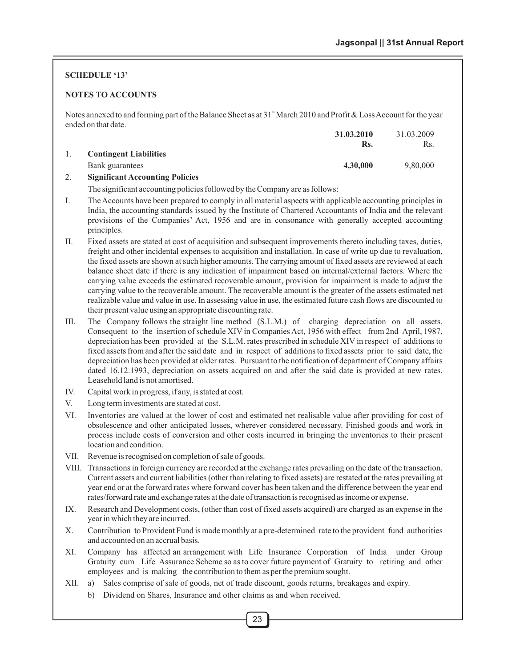#### **SCHEDULE '13'**

#### **NOTES TO ACCOUNTS**

Notes annexed to and forming part of the Balance Sheet as at  $31<sup>*</sup>$  March 2010 and Profit & Loss Account for the year ended on that date.

|                                        | 31.03.2010 | 31.03.2009 |
|----------------------------------------|------------|------------|
|                                        | Rs.        | Rs.        |
| <b>Contingent Liabilities</b>          |            |            |
| Bank guarantees                        | 4,30,000   | 9,80,000   |
| <b>Significant Accounting Policies</b> |            |            |

The significant accounting policies followed by the Company are as follows:

- I. The Accounts have been prepared to comply in all material aspects with applicable accounting principles in India, the accounting standards issued by the Institute of Chartered Accountants of India and the relevant provisions of the Companies' Act, 1956 and are in consonance with generally accepted accounting principles.
- II. Fixed assets are stated at cost of acquisition and subsequent improvements thereto including taxes, duties, freight and other incidental expenses to acquisition and installation. In case of write up due to revaluation, the fixed assets are shown at such higher amounts. The carrying amount of fixed assets are reviewed at each balance sheet date if there is any indication of impairment based on internal/external factors. Where the carrying value exceeds the estimated recoverable amount, provision for impairment is made to adjust the carrying value to the recoverable amount. The recoverable amount is the greater of the assets estimated net realizable value and value in use. In assessing value in use, the estimated future cash flows are discounted to their present value using an appropriate discounting rate.
- III. The Company follows the straight line method (S.L.M.) of charging depreciation on all assets. Consequent to the insertion of schedule XIV in Companies Act, 1956 with effect from 2nd April, 1987, depreciation has been provided at the S.L.M. rates prescribed in schedule XIV in respect of additions to fixed assets from and after the said date and in respect of additions to fixed assets prior to said date, the depreciation has been provided at older rates. Pursuant to the notification of department of Company affairs dated 16.12.1993, depreciation on assets acquired on and after the said date is provided at new rates. Leasehold land is not amortised.
- IV. Capital work in progress, if any, is stated at cost.
- V. Long term investments are stated at cost.
- VI. Inventories are valued at the lower of cost and estimated net realisable value after providing for cost of obsolescence and other anticipated losses, wherever considered necessary. Finished goods and work in process include costs of conversion and other costs incurred in bringing the inventories to their present location and condition.
- VII. Revenue is recognised on completion of sale of goods.
- VIII. Transactions in foreign currency are recorded at the exchange rates prevailing on the date of the transaction. Current assets and current liabilities (other than relating to fixed assets) are restated at the rates prevailing at year end or at the forward rates where forward cover has been taken and the difference between the year end rates/forward rate and exchange rates at the date of transaction is recognised as income or expense.
- IX. Research and Development costs, (other than cost of fixed assets acquired) are charged as an expense in the year in which they are incurred.
- X. Contribution to Provident Fund is made monthly at a pre-determined rate to the provident fund authorities and accounted on an accrual basis.
- XI. Company has affected an arrangement with Life Insurance Corporation of India under Group Gratuity cum Life Assurance Scheme so as to cover future payment of Gratuity to retiring and other employees and is making the contribution to them as per the premium sought.
- XII. a) Sales comprise of sale of goods, net of trade discount, goods returns, breakages and expiry.
	- b) Dividend on Shares, Insurance and other claims as and when received.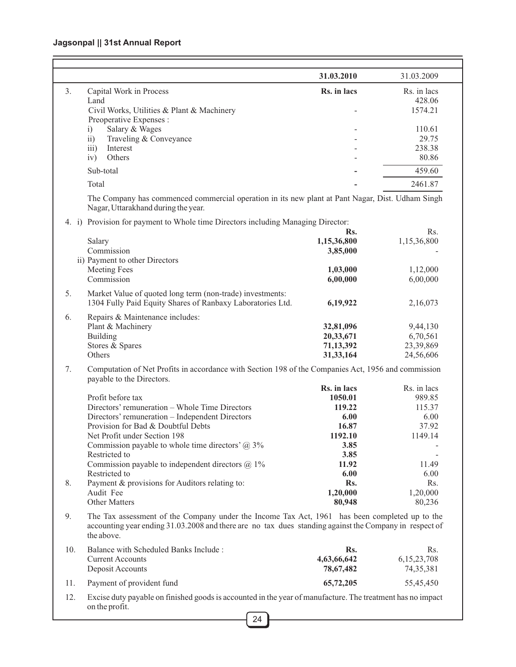# **Jagsonpal || 31st Annual Report**

 $=$ 

|       |                                                                                                                                                                                                                       | 31.03.2010  | 31.03.2009      |
|-------|-----------------------------------------------------------------------------------------------------------------------------------------------------------------------------------------------------------------------|-------------|-----------------|
| 3.    | Capital Work in Process                                                                                                                                                                                               | Rs. in lacs | Rs. in lacs     |
|       | Land                                                                                                                                                                                                                  |             | 428.06          |
|       | Civil Works, Utilities & Plant & Machinery                                                                                                                                                                            |             | 1574.21         |
|       | Preoperative Expenses :                                                                                                                                                                                               |             |                 |
|       | Salary & Wages<br>i)                                                                                                                                                                                                  |             | 110.61<br>29.75 |
|       | Traveling & Conveyance<br>$\overline{11}$<br>Interest                                                                                                                                                                 |             | 238.38          |
|       | iii)<br>Others<br>iv)                                                                                                                                                                                                 |             | 80.86           |
|       |                                                                                                                                                                                                                       |             |                 |
|       | Sub-total                                                                                                                                                                                                             |             | 459.60          |
|       | Total                                                                                                                                                                                                                 |             | 2461.87         |
|       | The Company has commenced commercial operation in its new plant at Pant Nagar, Dist. Udham Singh<br>Nagar, Uttarakhand during the year.                                                                               |             |                 |
| 4. i) | Provision for payment to Whole time Directors including Managing Director:                                                                                                                                            |             |                 |
|       |                                                                                                                                                                                                                       | Rs.         | Rs.             |
|       | Salary                                                                                                                                                                                                                | 1,15,36,800 | 1,15,36,800     |
|       | Commission                                                                                                                                                                                                            | 3,85,000    |                 |
|       | ii) Payment to other Directors                                                                                                                                                                                        |             |                 |
|       | <b>Meeting Fees</b>                                                                                                                                                                                                   | 1,03,000    | 1,12,000        |
|       | Commission                                                                                                                                                                                                            | 6,00,000    | 6,00,000        |
| 5.    | Market Value of quoted long term (non-trade) investments:                                                                                                                                                             |             |                 |
|       | 1304 Fully Paid Equity Shares of Ranbaxy Laboratories Ltd.                                                                                                                                                            | 6,19,922    | 2,16,073        |
| 6.    | Repairs & Maintenance includes:                                                                                                                                                                                       |             |                 |
|       | Plant & Machinery                                                                                                                                                                                                     | 32,81,096   | 9,44,130        |
|       | Building                                                                                                                                                                                                              | 20,33,671   | 6,70,561        |
|       | Stores & Spares                                                                                                                                                                                                       | 71,13,392   | 23,39,869       |
|       | Others                                                                                                                                                                                                                | 31,33,164   | 24,56,606       |
| 7.    | Computation of Net Profits in accordance with Section 198 of the Companies Act, 1956 and commission<br>payable to the Directors.                                                                                      |             |                 |
|       |                                                                                                                                                                                                                       | Rs. in lacs | Rs. in lacs     |
|       | Profit before tax                                                                                                                                                                                                     | 1050.01     | 989.85          |
|       | Directors' remuneration - Whole Time Directors                                                                                                                                                                        | 119.22      | 115.37          |
|       | Directors' remuneration - Independent Directors                                                                                                                                                                       | 6.00        | 6.00            |
|       | Provision for Bad & Doubtful Debts                                                                                                                                                                                    | 16.87       | 37.92           |
|       | Net Profit under Section 198                                                                                                                                                                                          | 1192.10     | 1149.14         |
|       | Commission payable to whole time directors' $\omega$ 3%                                                                                                                                                               | 3.85        |                 |
|       | Restricted to                                                                                                                                                                                                         | 3.85        |                 |
|       | Commission payable to independent directors $@1\%$                                                                                                                                                                    | 11.92       | 11.49           |
|       | Restricted to                                                                                                                                                                                                         | 6.00        | 6.00            |
| 8.    | Payment & provisions for Auditors relating to:                                                                                                                                                                        | Rs.         | Rs.             |
|       | Audit Fee                                                                                                                                                                                                             | 1,20,000    | 1,20,000        |
|       | Other Matters                                                                                                                                                                                                         | 80,948      | 80,236          |
| 9.    | The Tax assessment of the Company under the Income Tax Act, 1961 has been completed up to the<br>accounting year ending 31.03.2008 and there are no tax dues standing against the Company in respect of<br>the above. |             |                 |
| 10.   | Balance with Scheduled Banks Include:                                                                                                                                                                                 | Rs.         | Rs.             |
|       | <b>Current Accounts</b>                                                                                                                                                                                               | 4,63,66,642 | 6, 15, 23, 708  |
|       | Deposit Accounts                                                                                                                                                                                                      | 78,67,482   | 74, 35, 381     |
| 11.   | Payment of provident fund                                                                                                                                                                                             | 65,72,205   | 55,45,450       |
| 12.   | Excise duty payable on finished goods is accounted in the year of manufacture. The treatment has no impact                                                                                                            |             |                 |
|       |                                                                                                                                                                                                                       |             |                 |

 $=$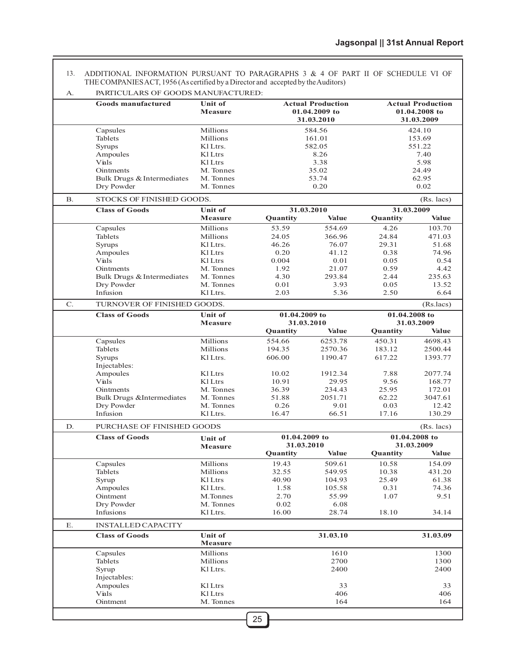ADDITIONAL INFORMATION PURSUANT TO PARAGRAPHS 3 & 4 OF PART II OF SCHEDULE VI OF THE COMPANIES ACT, 1956 (As certified by a Director and accepted by the Auditors) 13.

| А.             | PARTICULARS OF GOODS MANUFACTURED:       |                        |               |                          |               |                          |
|----------------|------------------------------------------|------------------------|---------------|--------------------------|---------------|--------------------------|
|                | <b>Goods manufactured</b>                | <b>Unit of</b>         |               | <b>Actual Production</b> |               | <b>Actual Production</b> |
|                |                                          | Measure                |               | 01.04.2009 to            |               | 01.04.2008 to            |
|                |                                          |                        |               | 31.03.2010               |               | 31.03.2009               |
|                | Capsules                                 | Millions               |               | 584.56                   |               | 424.10                   |
|                | Tablets                                  | Millions               |               | 161.01                   |               | 153.69                   |
|                | Syrups                                   | Kl Ltrs.               |               | 582.05                   |               | 551.22                   |
|                | Ampoules                                 | Kl Ltrs                |               | 8.26                     |               | 7.40                     |
|                | Vials                                    | Kl Ltrs                |               | 3.38                     |               | 5.98                     |
|                | Ointments                                | M. Tonnes              |               | 35.02                    |               | 24.49                    |
|                | Bulk Drugs & Intermediates<br>Dry Powder | M. Tonnes<br>M. Tonnes |               | 53.74<br>0.20            |               | 62.95<br>0.02            |
|                |                                          |                        |               |                          |               |                          |
| <b>B.</b>      | STOCKS OF FINISHED GOODS.                |                        |               |                          |               | $(Rs. \text{ lacs})$     |
|                | <b>Class of Goods</b>                    | <b>Unit of</b>         |               | 31.03.2010               | 31.03.2009    |                          |
|                |                                          | Measure                | Quantity      | Value                    | Quantity      | <b>Value</b>             |
|                | Capsules                                 | Millions               | 53.59         | 554.69                   | 4.26          | 103.70                   |
|                | Tablets                                  | Millions               | 24.05         | 366.96                   | 24.84         | 471.03                   |
|                | Syrups                                   | Kl Ltrs.               | 46.26         | 76.07                    | 29.31         | 51.68                    |
|                | Ampoules                                 | Kl Ltrs                | 0.20          | 41.12                    | 0.38          | 74.96                    |
|                | Vials                                    | Kl Ltrs                | 0.004         | 0.01                     | 0.05          | 0.54                     |
|                | Ointments                                | M. Tonnes              | 1.92          | 21.07                    | 0.59          | 4.42                     |
|                | Bulk Drugs & Intermediates               | M. Tonnes              | 4.30          | 293.84                   | 2.44          | 235.63                   |
|                | Dry Powder                               | M. Tonnes              | 0.01          | 3.93                     | 0.05          | 13.52                    |
|                | Infusion                                 | Kl Ltrs.               | 2.03          | 5.36                     | 2.50          | 6.64                     |
| $\mathbf{C}$ . | TURNOVER OF FINISHED GOODS.              |                        |               |                          |               | (Rs.lacs)                |
|                | <b>Class of Goods</b>                    | <b>Unit of</b>         | 01.04.2009 to |                          | 01.04.2008 to |                          |
|                |                                          | Measure                |               | 31.03.2010               |               | 31.03.2009               |
|                |                                          |                        | Quantity      | <b>Value</b>             | Quantity      | <b>Value</b>             |
|                | Capsules                                 | Millions               | 554.66        | 6253.78                  | 450.31        | 4698.43                  |
|                | Tablets                                  | Millions               | 194.35        | 2570.36                  | 183.12        | 2500.44                  |
|                | Syrups                                   | Kl Ltrs.               | 606.00        | 1190.47                  | 617.22        | 1393.77                  |
|                | Injectables:                             |                        |               |                          |               |                          |
|                | Ampoules                                 | Kl Ltrs                | 10.02         | 1912.34                  | 7.88          | 2077.74                  |
|                | Vials                                    | Kl Ltrs                | 10.91         | 29.95                    | 9.56          | 168.77                   |
|                | Ointments                                | M. Tonnes              | 36.39         | 234.43                   | 25.95         | 172.01                   |
|                | <b>Bulk Drugs &amp;Intermediates</b>     | M. Tonnes              | 51.88         | 2051.71                  | 62.22         | 3047.61                  |
|                | Dry Powder                               | M. Tonnes              | 0.26          | 9.01                     | 0.03          | 12.42                    |
|                | Infusion                                 | Kl Ltrs.               | 16.47         | 66.51                    | 17.16         | 130.29                   |
| D.             | PURCHASE OF FINISHED GOODS               |                        |               |                          |               | $(Rs.$ lacs)             |
|                | <b>Class of Goods</b>                    |                        | 01.04.2009 to |                          |               | 01.04.2008 to            |
|                |                                          | <b>Unit of</b>         | 31.03.2010    |                          |               | 31.03.2009               |
|                |                                          | Measure                | Quantity      | Value                    | Quantity      | Value                    |
|                | Capsules                                 | Millions               | 19.43         | 509.61                   | 10.58         | 154.09                   |
|                | Tablets                                  | Millions               | 32.55         | 549.95                   | 10.38         | 431.20                   |
|                | Syrup                                    | Kl Ltrs                | 40.90         | 104.93                   | 25.49         | 61.38                    |
|                | Ampoules                                 | Kl Ltrs.               | 1.58          | 105.58                   | 0.31          | 74.36                    |
|                | Ointment                                 | M.Tonnes               | 2.70          | 55.99                    | 1.07          | 9.51                     |
|                | Dry Powder                               | M. Tonnes              | 0.02          | 6.08                     |               |                          |
|                | Infusions                                | Kl Ltrs.               | 16.00         | 28.74                    | 18.10         | 34.14                    |
|                |                                          |                        |               |                          |               |                          |
| Ε.             | <b>INSTALLED CAPACITY</b>                |                        |               |                          |               |                          |
|                | <b>Class of Goods</b>                    | <b>Unit of</b>         |               | 31.03.10                 |               | 31.03.09                 |
|                |                                          | <b>Measure</b>         |               |                          |               |                          |
|                | Capsules                                 | Millions               |               | 1610                     |               | 1300                     |
|                | Tablets                                  | Millions               |               | 2700                     |               | 1300                     |
|                | Syrup                                    | Kl Ltrs.               |               | 2400                     |               | 2400                     |
|                | Injectables:                             |                        |               |                          |               |                          |
|                | Ampoules<br>Vials                        | Kl Ltrs<br>Kl Ltrs     |               | 33<br>406                |               | 33<br>406                |
|                | Ointment                                 | M. Tonnes              |               | 164                      |               | 164                      |
|                |                                          |                        |               |                          |               |                          |
|                |                                          |                        | 25            |                          |               |                          |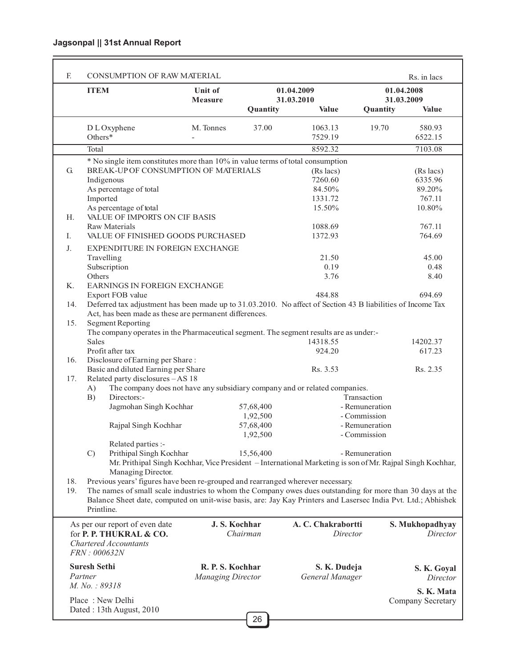# **Jagsonpal || 31st Annual Report**

L

|            | <b>ITEM</b>         |                                                                                                                                                                                                                             | Unit of                  |               | 01.04.2009                 |                | Rs. in lacs<br>01.04.2008  |
|------------|---------------------|-----------------------------------------------------------------------------------------------------------------------------------------------------------------------------------------------------------------------------|--------------------------|---------------|----------------------------|----------------|----------------------------|
|            |                     |                                                                                                                                                                                                                             | Measure                  | Quantity      | 31.03.2010<br><b>Value</b> | Quantity       | 31.03.2009<br><b>Value</b> |
|            | Others*             | D L Oxyphene                                                                                                                                                                                                                | M. Tonnes                | 37.00         | 1063.13<br>7529.19         | 19.70          | 580.93<br>6522.15          |
|            | Total               |                                                                                                                                                                                                                             |                          |               | 8592.32                    |                | 7103.08                    |
|            |                     | * No single item constitutes more than 10% in value terms of total consumption                                                                                                                                              |                          |               |                            |                |                            |
| G.         |                     | BREAK-UP OF CONSUMPTION OF MATERIALS                                                                                                                                                                                        |                          |               | (Rs lacs)                  |                | (Rs lacs)                  |
|            | Indigenous          |                                                                                                                                                                                                                             |                          |               | 7260.60                    |                | 6335.96                    |
|            |                     | As percentage of total                                                                                                                                                                                                      |                          |               | 84.50%                     |                | 89.20%                     |
|            | Imported            |                                                                                                                                                                                                                             |                          |               | 1331.72                    |                | 767.11                     |
|            |                     | As percentage of total                                                                                                                                                                                                      |                          |               | 15.50%                     |                | 10.80%                     |
| Η.         |                     | VALUE OF IMPORTS ON CIF BASIS                                                                                                                                                                                               |                          |               |                            |                |                            |
|            |                     | <b>Raw Materials</b>                                                                                                                                                                                                        |                          |               | 1088.69                    |                | 767.11                     |
| Ι.         |                     | VALUE OF FINISHED GOODS PURCHASED                                                                                                                                                                                           |                          |               | 1372.93                    |                | 764.69                     |
|            |                     |                                                                                                                                                                                                                             |                          |               |                            |                |                            |
| J.         |                     | EXPENDITURE IN FOREIGN EXCHANGE                                                                                                                                                                                             |                          |               |                            |                |                            |
|            | Travelling          |                                                                                                                                                                                                                             |                          |               | 21.50                      |                | 45.00                      |
|            | Subscription        |                                                                                                                                                                                                                             |                          |               | 0.19                       |                | 0.48                       |
|            | Others              |                                                                                                                                                                                                                             |                          |               | 3.76                       |                | 8.40                       |
| K.         |                     | EARNINGS IN FOREIGN EXCHANGE                                                                                                                                                                                                |                          |               |                            |                |                            |
|            |                     | Export FOB value                                                                                                                                                                                                            |                          |               | 484.88                     |                | 694.69                     |
| 14.<br>15. |                     | Deferred tax adjustment has been made up to 31.03.2010. No affect of Section 43 B liabilities of Income Tax<br>Act, has been made as these are permanent differences.                                                       |                          |               |                            |                |                            |
|            |                     | <b>Segment Reporting</b><br>The company operates in the Pharmaceutical segment. The segment results are as under:-                                                                                                          |                          |               |                            |                |                            |
|            | <b>Sales</b>        |                                                                                                                                                                                                                             |                          |               | 14318.55                   |                | 14202.37                   |
|            |                     | Profit after tax                                                                                                                                                                                                            |                          |               | 924.20                     |                | 617.23                     |
| 16.        |                     |                                                                                                                                                                                                                             |                          |               |                            |                |                            |
|            |                     | Disclosure of Earning per Share:                                                                                                                                                                                            |                          |               | Rs. 3.53                   |                | Rs. 2.35                   |
| 17.        |                     | Basic and diluted Earning per Share<br>Related party disclosures - AS 18                                                                                                                                                    |                          |               |                            |                |                            |
|            | A)                  | The company does not have any subsidiary company and or related companies.                                                                                                                                                  |                          |               |                            |                |                            |
|            |                     | Directors:-                                                                                                                                                                                                                 |                          |               |                            | Transaction    |                            |
|            | B)                  |                                                                                                                                                                                                                             |                          |               |                            | - Remuneration |                            |
|            |                     | Jagmohan Singh Kochhar                                                                                                                                                                                                      |                          | 57,68,400     |                            | - Commission   |                            |
|            |                     |                                                                                                                                                                                                                             |                          | 1,92,500      |                            |                |                            |
|            |                     | Rajpal Singh Kochhar                                                                                                                                                                                                        |                          | 57,68,400     |                            | - Remuneration |                            |
|            |                     |                                                                                                                                                                                                                             |                          | 1,92,500      |                            | - Commission   |                            |
|            |                     | Related parties :-                                                                                                                                                                                                          |                          |               |                            |                |                            |
|            | $\mathcal{C}$       | Prithipal Singh Kochhar<br>Mr. Prithipal Singh Kochhar, Vice President – International Marketing is son of Mr. Rajpal Singh Kochhar,                                                                                        |                          | 15,56,400     |                            | - Remuneration |                            |
| 18.        |                     | Managing Director.<br>Previous years' figures have been re-grouped and rearranged wherever necessary.                                                                                                                       |                          |               |                            |                |                            |
| 19.        |                     |                                                                                                                                                                                                                             |                          |               |                            |                |                            |
|            |                     | The names of small scale industries to whom the Company owes dues outstanding for more than 30 days at the<br>Balance Sheet date, computed on unit-wise basis, are: Jay Kay Printers and Lasersec India Pvt. Ltd.; Abhishek |                          |               |                            |                |                            |
|            | Printline.          |                                                                                                                                                                                                                             |                          |               |                            |                |                            |
|            |                     |                                                                                                                                                                                                                             |                          | J. S. Kochhar | A. C. Chakrabortti         |                | S. Mukhopadhyay            |
|            |                     | As per our report of even date<br>for P. P. THUKRAL & CO.                                                                                                                                                                   |                          | Chairman      |                            | Director       | Director                   |
|            |                     | <b>Chartered Accountants</b>                                                                                                                                                                                                |                          |               |                            |                |                            |
|            | FRN: 000632N        |                                                                                                                                                                                                                             |                          |               |                            |                |                            |
|            |                     |                                                                                                                                                                                                                             |                          |               |                            |                |                            |
|            | <b>Suresh Sethi</b> |                                                                                                                                                                                                                             | R. P. S. Kochhar         |               | S. K. Dudeja               |                | S. K. Goyal                |
|            | Partner             |                                                                                                                                                                                                                             | <b>Managing Director</b> |               | General Manager            |                | Director                   |
|            | M. No.: 89318       |                                                                                                                                                                                                                             |                          |               |                            |                |                            |
|            |                     |                                                                                                                                                                                                                             |                          |               |                            |                | S. K. Mata                 |
|            | Place: New Delhi    | Dated: 13th August, 2010                                                                                                                                                                                                    |                          |               |                            |                | Company Secretary          |
|            |                     |                                                                                                                                                                                                                             |                          |               |                            |                |                            |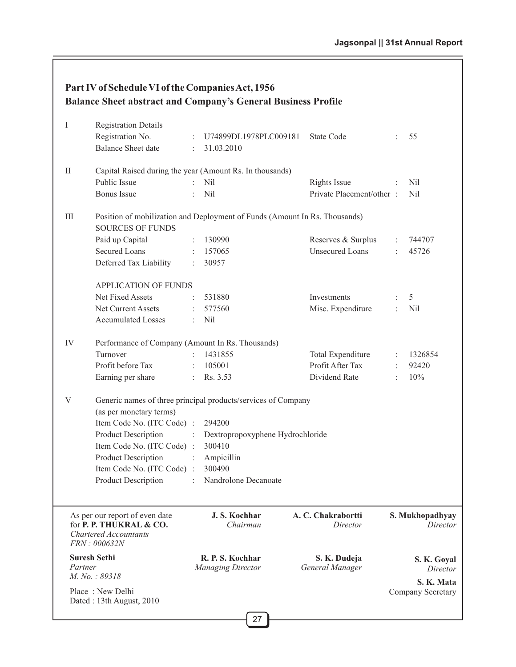| Part IV of Schedule VI of the Companies Act, 1956                    |
|----------------------------------------------------------------------|
| <b>Balance Sheet abstract and Company's General Business Profile</b> |

|          |                                                                                                                          |                | 27                                           |                                 |                |                                       |
|----------|--------------------------------------------------------------------------------------------------------------------------|----------------|----------------------------------------------|---------------------------------|----------------|---------------------------------------|
|          | Place: New Delhi<br>Dated: 13th August, 2010                                                                             |                |                                              |                                 |                | Company Secretary                     |
| Partner  | <b>Suresh Sethi</b><br>M. No.: 89318                                                                                     |                | R. P. S. Kochhar<br><b>Managing Director</b> | S. K. Dudeja<br>General Manager |                | S. K. Goyal<br>Director<br>S. K. Mata |
|          | As per our report of even date<br>for P. P. THUKRAL & CO.<br><b>Chartered Accountants</b><br>FRN:000632N                 |                | J. S. Kochhar<br>Chairman                    | A. C. Chakrabortti<br>Director  |                | S. Mukhopadhyay<br>Director           |
|          | Item Code No. (ITC Code) :<br>Product Description                                                                        |                | 300490<br>Nandrolone Decanoate               |                                 |                |                                       |
|          | <b>Product Description</b>                                                                                               |                | Ampicillin                                   |                                 |                |                                       |
|          | Item Code No. (ITC Code) :                                                                                               |                | 300410                                       |                                 |                |                                       |
|          | <b>Product Description</b>                                                                                               |                | Dextropropoxyphene Hydrochloride             |                                 |                |                                       |
|          | (as per monetary terms)<br>Item Code No. (ITC Code) :                                                                    |                | 294200                                       |                                 |                |                                       |
| V        | Generic names of three principal products/services of Company                                                            |                |                                              |                                 |                |                                       |
|          | Earning per share                                                                                                        |                | Rs. 3.53                                     | Dividend Rate                   |                | 10%                                   |
|          | Profit before Tax                                                                                                        |                | 105001                                       | Profit After Tax                |                | 92420                                 |
| IV       | Performance of Company (Amount In Rs. Thousands)<br>Turnover                                                             |                | 1431855                                      | Total Expenditure               |                | 1326854                               |
|          |                                                                                                                          |                |                                              |                                 |                |                                       |
|          | <b>Accumulated Losses</b>                                                                                                |                | <b>Nil</b>                                   |                                 |                |                                       |
|          | Net Current Assets                                                                                                       |                | 577560                                       | Misc. Expenditure               | ÷              | Nil                                   |
|          | <b>APPLICATION OF FUNDS</b><br>Net Fixed Assets                                                                          |                | 531880                                       | Investments                     |                | 5                                     |
|          | Deferred Tax Liability                                                                                                   |                | 30957                                        |                                 |                |                                       |
|          | <b>Secured Loans</b>                                                                                                     |                | 157065                                       | <b>Unsecured Loans</b>          |                | 45726                                 |
| Ш        | Position of mobilization and Deployment of Funds (Amount In Rs. Thousands)<br><b>SOURCES OF FUNDS</b><br>Paid up Capital | $\ddot{\cdot}$ | 130990                                       | Reserves & Surplus              | $\ddot{\cdot}$ | 744707                                |
|          | <b>Bonus</b> Issue                                                                                                       |                | <b>Nil</b>                                   | Private Placement/other :       |                | <b>Nil</b>                            |
|          | Public Issue                                                                                                             |                | N <sub>il</sub>                              | Rights Issue                    |                | Nil                                   |
| $\rm II$ | Capital Raised during the year (Amount Rs. In thousands)                                                                 |                |                                              |                                 |                |                                       |
|          | <b>Balance Sheet date</b>                                                                                                |                | 31.03.2010                                   |                                 |                |                                       |
|          | Registration No.                                                                                                         |                | U74899DL1978PLC009181                        | State Code                      |                | 55                                    |
| I        | <b>Registration Details</b>                                                                                              |                |                                              |                                 |                |                                       |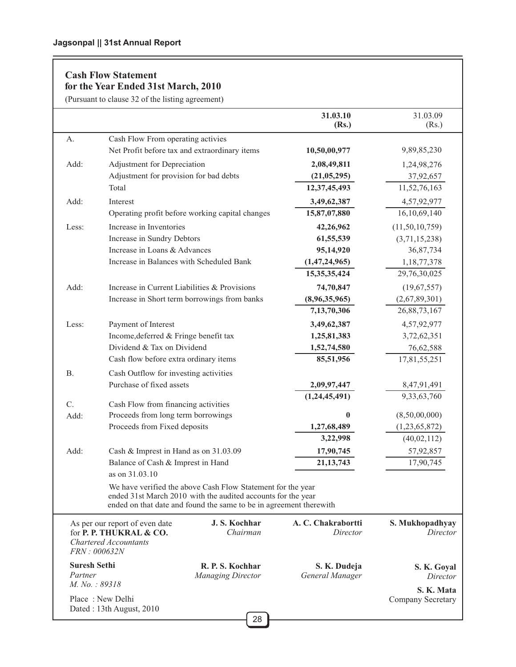# **Cash Flow Statement for the Year Ended 31st March, 2010**

(Pursuant to clause 32 of the listing agreement)

|                                                 | (Pursuant to clause 32 of the listing agreement)                                                                                                                                                  |                                 |                                 |
|-------------------------------------------------|---------------------------------------------------------------------------------------------------------------------------------------------------------------------------------------------------|---------------------------------|---------------------------------|
|                                                 |                                                                                                                                                                                                   | 31.03.10<br>(Rs.)               | 31.03.09<br>(Rs.)               |
| A.                                              | Cash Flow From operating activies                                                                                                                                                                 |                                 |                                 |
|                                                 | Net Profit before tax and extraordinary items                                                                                                                                                     | 10,50,00,977                    | 9,89,85,230                     |
| Add:                                            | Adjustment for Depreciation                                                                                                                                                                       | 2,08,49,811                     | 1,24,98,276                     |
|                                                 | Adjustment for provision for bad debts                                                                                                                                                            | (21,05,295)                     | 37,92,657                       |
|                                                 | Total                                                                                                                                                                                             | 12,37,45,493                    | 11,52,76,163                    |
| Add:                                            | Interest                                                                                                                                                                                          | 3,49,62,387                     | 4,57,92,977                     |
|                                                 | Operating profit before working capital changes                                                                                                                                                   | 15,87,07,880                    | 16, 10, 69, 140                 |
| Less:                                           | Increase in Inventories                                                                                                                                                                           | 42,26,962                       | (11, 50, 10, 759)               |
|                                                 | Increase in Sundry Debtors                                                                                                                                                                        | 61,55,539                       | (3,71,15,238)                   |
|                                                 | Increase in Loans & Advances                                                                                                                                                                      | 95,14,920                       | 36,87,734                       |
|                                                 | Increase in Balances with Scheduled Bank                                                                                                                                                          | (1,47,24,965)                   | 1,18,77,378                     |
|                                                 |                                                                                                                                                                                                   | 15, 35, 35, 424                 | 29,76,30,025                    |
| Add:                                            | Increase in Current Liabilities & Provisions                                                                                                                                                      | 74,70,847                       | (19,67,557)                     |
|                                                 | Increase in Short term borrowings from banks                                                                                                                                                      | (8,96,35,965)                   | (2,67,89,301)                   |
|                                                 |                                                                                                                                                                                                   | 7,13,70,306                     | 26,88,73,167                    |
| Less:                                           | Payment of Interest                                                                                                                                                                               | 3,49,62,387                     | 4,57,92,977                     |
|                                                 | Income, deferred & Fringe benefit tax                                                                                                                                                             | 1,25,81,383                     | 3,72,62,351                     |
|                                                 | Dividend & Tax on Dividend                                                                                                                                                                        | 1,52,74,580                     | 76,62,588                       |
|                                                 | Cash flow before extra ordinary items                                                                                                                                                             | 85,51,956                       | 17,81,55,251                    |
| <b>B.</b>                                       | Cash Outflow for investing activities                                                                                                                                                             |                                 |                                 |
|                                                 | Purchase of fixed assets                                                                                                                                                                          | 2,09,97,447                     | 8,47,91,491                     |
| C.                                              | Cash Flow from financing activities                                                                                                                                                               | (1,24,45,491)                   | 9,33,63,760                     |
| Add:                                            | Proceeds from long term borrowings                                                                                                                                                                | $\bf{0}$                        | (8,50,00,000)                   |
|                                                 | Proceeds from Fixed deposits                                                                                                                                                                      | 1,27,68,489                     | (1,23,65,872)                   |
|                                                 |                                                                                                                                                                                                   | 3,22,998                        | (40,02,112)                     |
| Add:                                            | Cash & Imprest in Hand as on 31.03.09                                                                                                                                                             | 17,90,745                       | 57,92,857                       |
|                                                 | Balance of Cash & Imprest in Hand                                                                                                                                                                 | 21, 13, 743                     | 17,90,745                       |
|                                                 | as on 31.03.10                                                                                                                                                                                    |                                 |                                 |
|                                                 | We have verified the above Cash Flow Statement for the year<br>ended 31st March 2010 with the audited accounts for the year<br>ended on that date and found the same to be in agreement therewith |                                 |                                 |
|                                                 | J. S. Kochhar<br>As per our report of even date<br>Chairman<br>for P. P. THUKRAL & CO.<br><b>Chartered Accountants</b><br>FRN: 000632N                                                            | A. C. Chakrabortti<br>Director  | S. Mukhopadhyay<br>Director     |
| <b>Suresh Sethi</b><br>Partner<br>M. No.: 89318 | R. P. S. Kochhar<br><b>Managing Director</b>                                                                                                                                                      | S. K. Dudeja<br>General Manager | S. K. Goyal<br>Director         |
|                                                 | Place: New Delhi<br>Dated: 13th August, 2010                                                                                                                                                      |                                 | S. K. Mata<br>Company Secretary |
|                                                 | 28                                                                                                                                                                                                |                                 |                                 |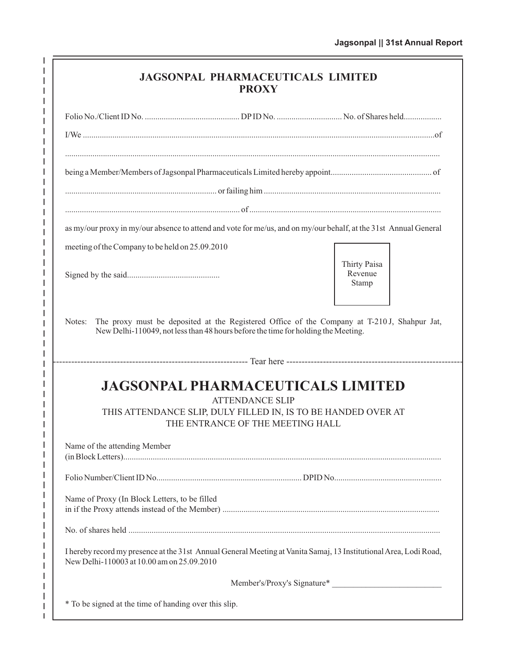| <b>JAGSONPAL PHARMACEUTICALS LIMITED</b> |  |
|------------------------------------------|--|
| <b>PROXY</b>                             |  |

 $\frac{1}{1}$   $\frac{1}{1}$   $\frac{1}{1}$   $\frac{1}{1}$ 

 $\mathbf I$ 

 $\begin{array}{c} 1 \\ 1 \\ 1 \end{array}$ 

 $\begin{array}{c|cccc}\n1 & 1 & 1 & 1 & 1 & 1 & 1\n\end{array}$ 

 $\bar{\mathbf{I}}$ 

 $\begin{array}{c} 1 \\ 1 \\ 1 \end{array}$ 

 $\bar{1}$  $\frac{1}{1}$ 

 $\begin{array}{c} 1 \\ 1 \\ 1 \\ 1 \end{array}$ 

 $\bar{\mathbf{I}}$ 

 $\begin{array}{c} 1 \\ 1 \\ 1 \end{array}$ 

 $\begin{array}{c|cccc}\n1 & 1 & 1 & 1 & 1 & 1 & 1\n\end{array}$ 

 $\bar{\mathbf{I}}$ 

 $\begin{array}{c} 1 \\ 1 \\ 1 \end{array}$ 

 $\mathbf{I}$  $\frac{1}{1}$ 

 $\begin{array}{c} 1 \\ 1 \\ 1 \\ 1 \end{array}$ 

 $\mathbf I$  $\frac{1}{1}$  $\mathbf I$ 

 $\begin{array}{c} 1 \\ 1 \\ 1 \end{array}$ 

| as my/our proxy in my/our absence to attend and vote for me/us, and on my/our behalf, at the 31st Annual General                                                |                                                                                             |
|-----------------------------------------------------------------------------------------------------------------------------------------------------------------|---------------------------------------------------------------------------------------------|
| meeting of the Company to be held on 25.09.2010                                                                                                                 |                                                                                             |
|                                                                                                                                                                 | Thirty Paisa<br>Revenue<br>Stamp                                                            |
| Notes:<br>New Delhi-110049, not less than 48 hours before the time for holding the Meeting.                                                                     | The proxy must be deposited at the Registered Office of the Company at T-210J, Shahpur Jat, |
|                                                                                                                                                                 |                                                                                             |
| <b>JAGSONPAL PHARMACEUTICALS LIMITED</b>                                                                                                                        |                                                                                             |
| <b>ATTENDANCE SLIP</b><br>THIS ATTENDANCE SLIP, DULY FILLED IN, IS TO BE HANDED OVER AT                                                                         |                                                                                             |
| THE ENTRANCE OF THE MEETING HALL                                                                                                                                |                                                                                             |
| Name of the attending Member                                                                                                                                    |                                                                                             |
|                                                                                                                                                                 |                                                                                             |
| Name of Proxy (In Block Letters, to be filled                                                                                                                   |                                                                                             |
|                                                                                                                                                                 |                                                                                             |
| I hereby record my presence at the 31st Annual General Meeting at Vanita Samaj, 13 Institutional Area, Lodi Road,<br>New Delhi-110003 at 10.00 am on 25.09.2010 |                                                                                             |
|                                                                                                                                                                 | Member's/Proxy's Signature*                                                                 |
| * To be signed at the time of handing over this slip.                                                                                                           |                                                                                             |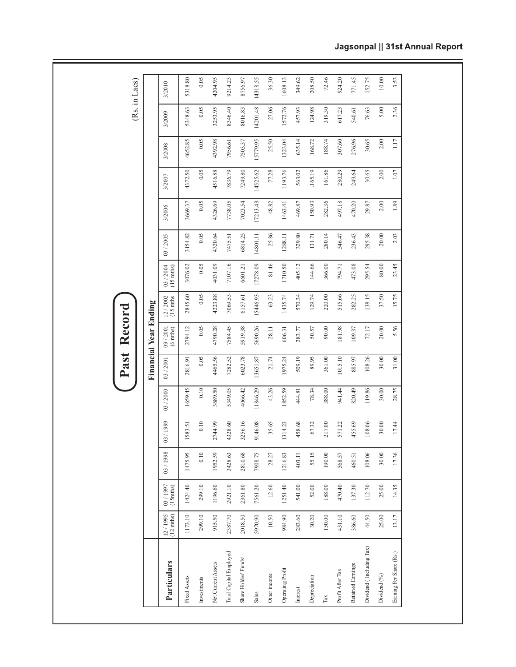|                                 |                          |                        |         |           |           | ast<br>$\mathbf{\underline{\triangle}}$ | Record                |                         |                                  |           |          |          |          |          | (Rs. in Lacs) |
|---------------------------------|--------------------------|------------------------|---------|-----------|-----------|-----------------------------------------|-----------------------|-------------------------|----------------------------------|-----------|----------|----------|----------|----------|---------------|
|                                 |                          |                        |         |           |           |                                         | Financial Year Ending |                         |                                  |           |          |          |          |          |               |
| Particulars                     | $12 / 1995$<br>(12 mths) | $(15$ mths)<br>03/1997 | 03/1998 | 03 / 1999 | 03 / 2000 | 03/2001                                 | $09/2001$ (6 mths)    | $12 / 2002$<br>(15 mths | 03 / 2004<br>$(15 \text{ mths})$ | 03 / 2005 | 3/2006   | 3/2007   | 3/2008   | 3/2009   | 3/2010        |
| Fixed Assets                    | 1173.10                  | 1424.40                | 1475.95 | 1583.51   | 1659.45   | 2816.91                                 | 2794.12               | 2845.60                 | 3076.02                          | 3154.82   | 3669.37  | 4372.50  | 4652.85  | 5348.63  | 5318.80       |
| Investments                     | 299.10                   | 299.10                 | 0.10    | 0.10      | $0.10\,$  | 0.05                                    | 0.05                  | 0.05                    | 0.05                             | 0.05      | 0.05     | 0.05     | 0.05     | 0.05     | 0.05          |
| Net Current Assets              | 915.50                   | 1196.60                | 1952.59 | 2744.99   | 3689.50   | 4465.56                                 | 4790.28               | 4223.88                 | 4031.09                          | 4320.64   | 4326.69  | 4516.88  | 4392.98  | 3253.95  | 4204.95       |
| Total Capital Employed          | 2387.70                  | 2921.10                | 3428.63 | 4328.60   | 5349.05   | 7282.52                                 | 7584.45               | 7069.53                 | 7107.16                          | 7475.51   | 7738.05  | 7836.79  | 7956.61  | 8346.40  | 9214.23       |
| Share Holdes' Funds             | 2018.50                  | 2361.80                | 2810.68 | 3256.16   | 4066.42   | 6023.78                                 | 5919.38               | 6157.61                 | 6601.21                          | 6814.25   | 7023.54  | 7249.80  | 7503.37  | 8016.83  | 8756.97       |
| Sales                           | 5970.90                  | 7561.20                | 7908.75 | 9146.08   | 11846.29  | 13651.87                                | 5690.26               | 15446.93                | 17278.09                         | 14801.11  | 17213.43 | 14525.62 | 15779.95 | 14201.48 | 14318.55      |
| Other income                    | 10.50                    | 12.60                  | 28.27   | 35.65     | 43.26     | 21.74                                   | 28.11                 | 63.23                   | 81.46                            | 25.86     | 48.82    | 77.28    | 25.50    | 27.06    | 36.30         |
| Operating Profit                | 984.90                   | 1251.40                | 1216.83 | 1314.23   | 1852.59   | 1975.24                                 | 606.31                | 1435.74                 | 1710.50                          | 1288.11   | 1463.41  | 1193.76  | 1323.04  | 1572.76  | 1608.13       |
| Interest                        | 283.60                   | 541.00                 | 403.11  | 458.68    | 444.81    | 509.19                                  | 283.77                | 570.34                  | 405.12                           | 329.80    | 469.87   | 563.02   | 635.14   | 457.93   | 349.62        |
| Depreciation                    | 30.20                    | 52.00                  | 55.15   | 67.32     | 78.34     | 89.95                                   | 50.57                 | 129.74                  | 144.66                           | 131.71    | 150.93   | .165.19  | 168.72   | 124.98   | 208.50        |
| $\operatorname{{\mathtt{Tax}}}$ | 150.00                   | 188.00                 | 190.00  | 217.00    | 388.00    | 361.00                                  | 90.00                 | 220.00                  | 366.00                           | 280.14    | 282.36   | 161.86   | 188.74   | 319.30   | 72.46         |
| Profit After Tax                | 431.10                   | 470.40                 | 568.57  | 571.22    | 941.44    | 1015.10                                 | 181.98                | 515.66                  | 794.71                           | 546.47    | 497.18   | 280.29   | 307.60   | 617.23   | 924.20        |
| Retained Earnings               | 386.60                   | 137.30                 | 460.51  | 455.69    | 820.49    | 885.97                                  | 109.37                | 282.25                  | 473.08                           | 236.43    | 470.20   | 249.64   | 276.96   | 540.61   | 771.45        |
| Dividend (Including Tax)        | 44.50                    | 112.70                 | 108.06  | 108.06    | 119.86    | 108.26                                  | 72.17                 | 138.15                  | 295.54                           | 295.38    | 29.87    | 30.65    | 30.65    | 76.63    | 152.75        |
| Dividend (%)                    | 25.00                    | 25.00                  | 30.00   | 30.00     | 30.00     | $30.00$                                 | $20.00\,$             | 37.50                   | $80.00$                          | 20.00     | 2.00     | 2.00     | $2.00\,$ | 5.00     | 10.00         |
| Earning Per Share (Rs.)         | 13.17                    | 14.35                  | 17.36   | 17.44     | 28.75     | 31.00                                   | 5.56                  | 15.75                   | 23.45                            | 2.03      | 1.89     | $1.07\,$ | 1.17     | 2.36     | 3.53          |

# Jagsonpal || 31st Annual Report